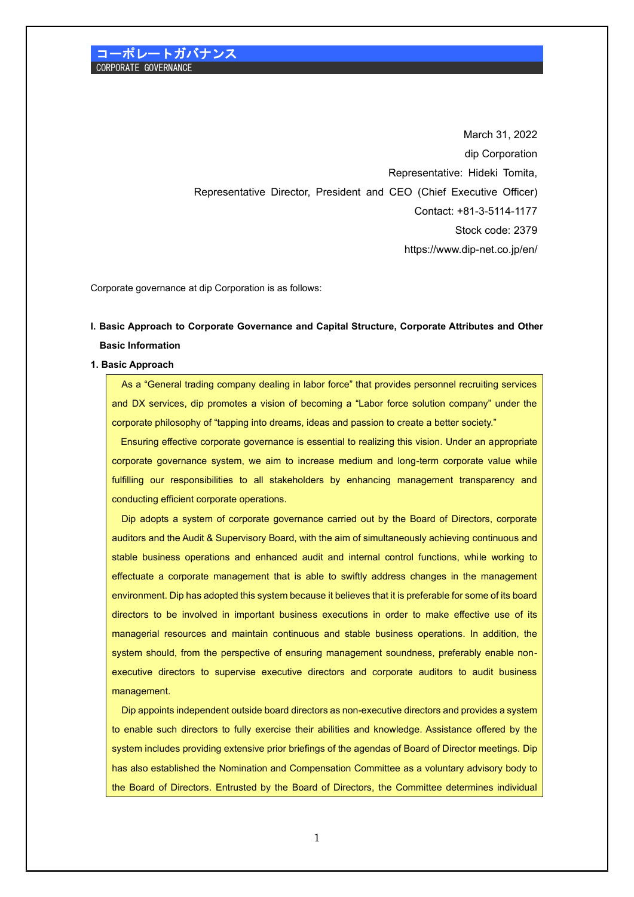March 31, 2022 dip Corporation Representative: Hideki Tomita, Representative Director, President and CEO (Chief Executive Officer) Contact: +81-3-5114-1177 Stock code: 2379 <https://www.dip-net.co.jp/en/>

Corporate governance at dip Corporation is as follows:

# **I. Basic Approach to Corporate Governance and Capital Structure, Corporate Attributes and Other Basic Information**

#### **1. Basic Approach**

As a "General trading company dealing in labor force" that provides personnel recruiting services and DX services, dip promotes a vision of becoming a "Labor force solution company" under the corporate philosophy of "tapping into dreams, ideas and passion to create a better society."

Ensuring effective corporate governance is essential to realizing this vision. Under an appropriate corporate governance system, we aim to increase medium and long-term corporate value while fulfilling our responsibilities to all stakeholders by enhancing management transparency and conducting efficient corporate operations.

Dip adopts a system of corporate governance carried out by the Board of Directors, corporate auditors and the Audit & Supervisory Board, with the aim of simultaneously achieving continuous and stable business operations and enhanced audit and internal control functions, while working to effectuate a corporate management that is able to swiftly address changes in the management environment. Dip has adopted this system because it believes that it is preferable for some of its board directors to be involved in important business executions in order to make effective use of its managerial resources and maintain continuous and stable business operations. In addition, the system should, from the perspective of ensuring management soundness, preferably enable nonexecutive directors to supervise executive directors and corporate auditors to audit business management.

Dip appoints independent outside board directors as non-executive directors and provides a system to enable such directors to fully exercise their abilities and knowledge. Assistance offered by the system includes providing extensive prior briefings of the agendas of Board of Director meetings. Dip has also established the Nomination and Compensation Committee as a voluntary advisory body to the Board of Directors. Entrusted by the Board of Directors, the Committee determines individual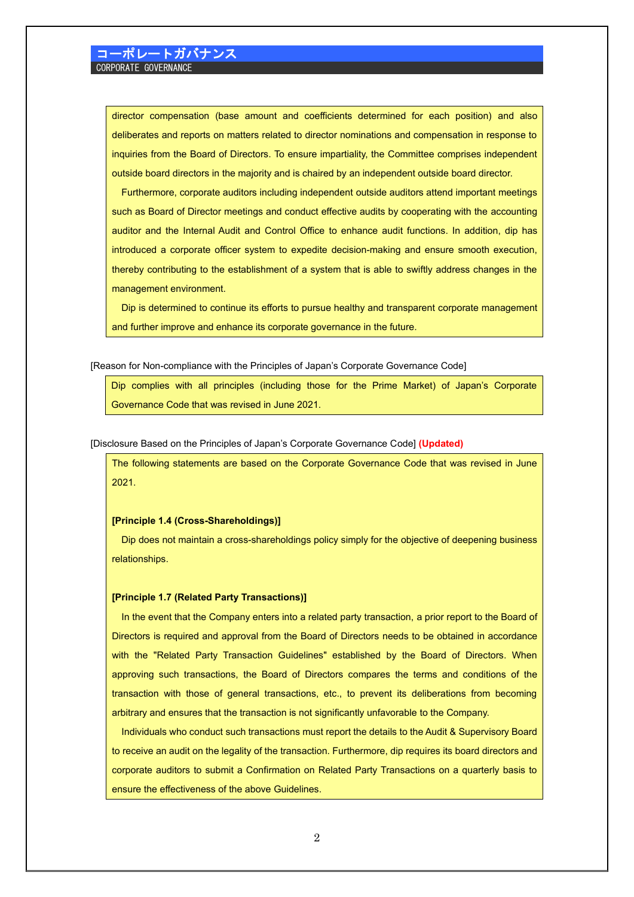director compensation (base amount and coefficients determined for each position) and also deliberates and reports on matters related to director nominations and compensation in response to inquiries from the Board of Directors. To ensure impartiality, the Committee comprises independent outside board directors in the majority and is chaired by an independent outside board director.

Furthermore, corporate auditors including independent outside auditors attend important meetings such as Board of Director meetings and conduct effective audits by cooperating with the accounting auditor and the Internal Audit and Control Office to enhance audit functions. In addition, dip has introduced a corporate officer system to expedite decision-making and ensure smooth execution, thereby contributing to the establishment of a system that is able to swiftly address changes in the management environment.

Dip is determined to continue its efforts to pursue healthy and transparent corporate management and further improve and enhance its corporate governance in the future.

[Reason for Non-compliance with the Principles of Japan's Corporate Governance Code]

Dip complies with all principles (including those for the Prime Market) of Japan's Corporate Governance Code that was revised in June 2021.

### [Disclosure Based on the Principles of Japan's Corporate Governance Code] **(Updated)**

The following statements are based on the Corporate Governance Code that was revised in June 2021.

### **[Principle 1.4 (Cross-Shareholdings)]**

Dip does not maintain a cross-shareholdings policy simply for the objective of deepening business relationships.

#### **[Principle 1.7 (Related Party Transactions)]**

In the event that the Company enters into a related party transaction, a prior report to the Board of Directors is required and approval from the Board of Directors needs to be obtained in accordance with the "Related Party Transaction Guidelines" established by the Board of Directors. When approving such transactions, the Board of Directors compares the terms and conditions of the transaction with those of general transactions, etc., to prevent its deliberations from becoming arbitrary and ensures that the transaction is not significantly unfavorable to the Company.

Individuals who conduct such transactions must report the details to the Audit & Supervisory Board to receive an audit on the legality of the transaction. Furthermore, dip requires its board directors and corporate auditors to submit a Confirmation on Related Party Transactions on a quarterly basis to ensure the effectiveness of the above Guidelines.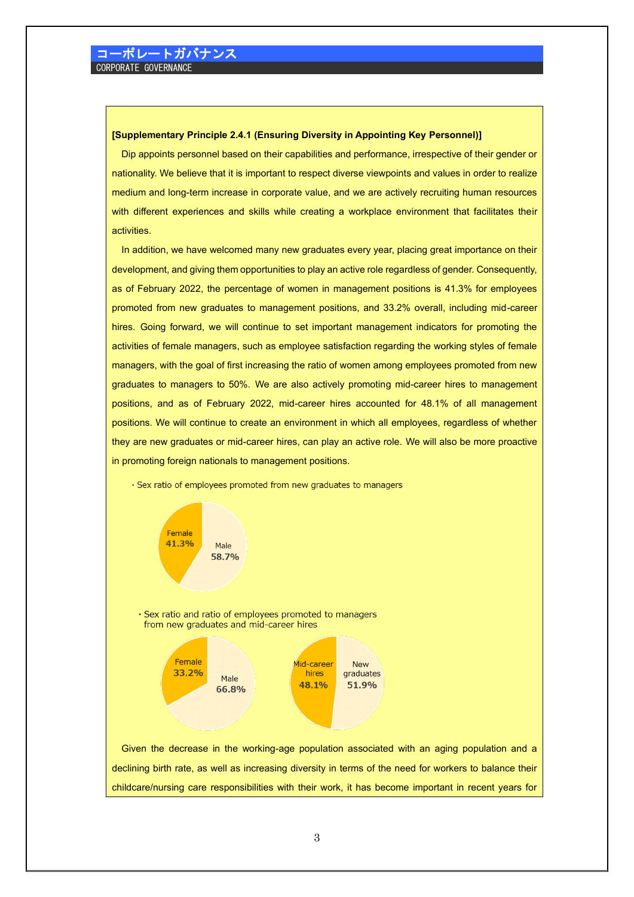#### **[Supplementary Principle 2.4.1 (Ensuring Diversity in Appointing Key Personnel)]**

Dip appoints personnel based on their capabilities and performance, irrespective of their gender or nationality. We believe that it is important to respect diverse viewpoints and values in order to realize medium and long-term increase in corporate value, and we are actively recruiting human resources with different experiences and skills while creating a workplace environment that facilitates their activities.

In addition, we have welcomed many new graduates every year, placing great importance on their development, and giving them opportunities to play an active role regardless of gender. Consequently, as of February 2022, the percentage of women in management positions is 41.3% for employees promoted from new graduates to management positions, and 33.2% overall, including mid-career hires. Going forward, we will continue to set important management indicators for promoting the activities of female managers, such as employee satisfaction regarding the working styles of female managers, with the goal of first increasing the ratio of women among employees promoted from new graduates to managers to 50%. We are also actively promoting mid-career hires to management positions, and as of February 2022, mid-career hires accounted for 48.1% of all management positions. We will continue to create an environment in which all employees, regardless of whether they are new graduates or mid-career hires, can play an active role. We will also be more proactive in promoting foreign nationals to management positions.





declining birth rate, as well as increasing diversity in terms of the need for workers to balance their childcare/nursing care responsibilities with their work, it has become important in recent years for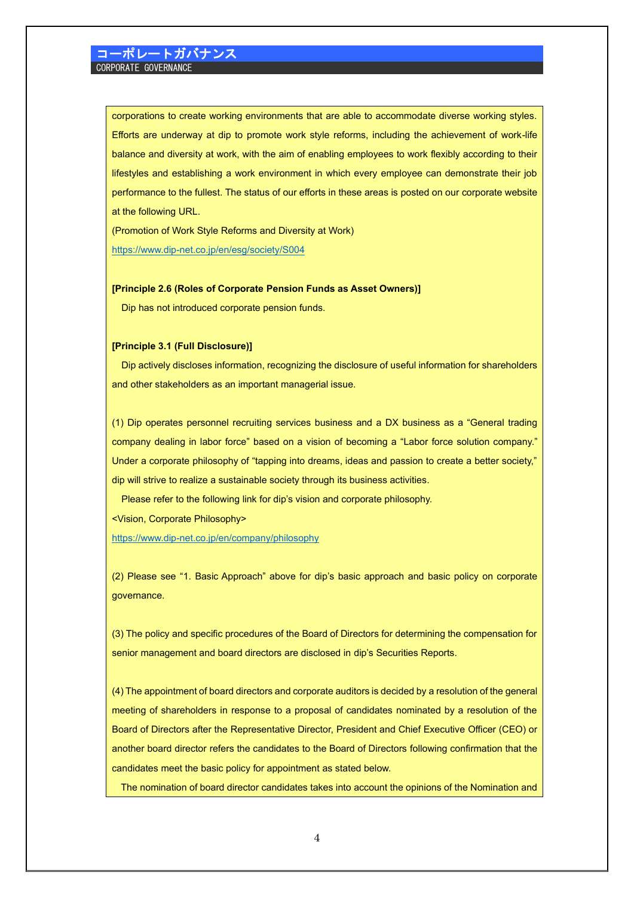corporations to create working environments that are able to accommodate diverse working styles. Efforts are underway at dip to promote work style reforms, including the achievement of work-life balance and diversity at work, with the aim of enabling employees to work flexibly according to their lifestyles and establishing a work environment in which every employee can demonstrate their job performance to the fullest. The status of our efforts in these areas is posted on our corporate website at the following URL.

(Promotion of Work Style Reforms and Diversity at Work)

<https://www.dip-net.co.jp/en/esg/society/S004>

#### **[Principle 2.6 (Roles of Corporate Pension Funds as Asset Owners)]**

Dip has not introduced corporate pension funds.

#### **[Principle 3.1 (Full Disclosure)]**

Dip actively discloses information, recognizing the disclosure of useful information for shareholders and other stakeholders as an important managerial issue.

(1) Dip operates personnel recruiting services business and a DX business as a "General trading company dealing in labor force" based on a vision of becoming a "Labor force solution company." Under a corporate philosophy of "tapping into dreams, ideas and passion to create a better society," dip will strive to realize a sustainable society through its business activities.

Please refer to the following link for dip's vision and corporate philosophy.

<Vision, Corporate Philosophy>

<https://www.dip-net.co.jp/en/company/philosophy>

(2) Please see "1. Basic Approach" above for dip's basic approach and basic policy on corporate governance.

(3) The policy and specific procedures of the Board of Directors for determining the compensation for senior management and board directors are disclosed in dip's Securities Reports.

(4) The appointment of board directors and corporate auditors is decided by a resolution of the general meeting of shareholders in response to a proposal of candidates nominated by a resolution of the Board of Directors after the Representative Director, President and Chief Executive Officer (CEO) or another board director refers the candidates to the Board of Directors following confirmation that the candidates meet the basic policy for appointment as stated below.

The nomination of board director candidates takes into account the opinions of the Nomination and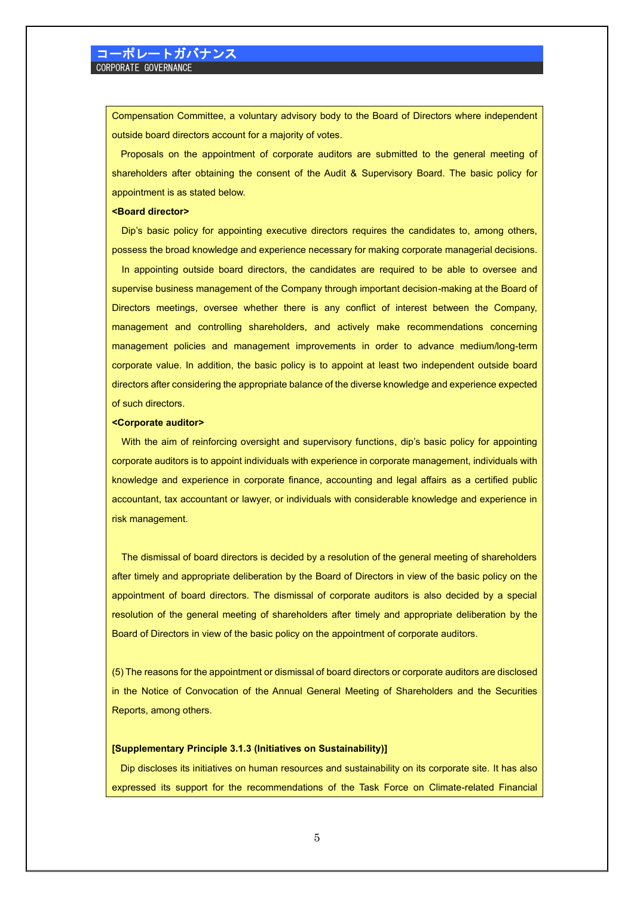Compensation Committee, a voluntary advisory body to the Board of Directors where independent outside board directors account for a majority of votes.

Proposals on the appointment of corporate auditors are submitted to the general meeting of shareholders after obtaining the consent of the Audit & Supervisory Board. The basic policy for appointment is as stated below.

#### **<Board director>**

Dip's basic policy for appointing executive directors requires the candidates to, among others, possess the broad knowledge and experience necessary for making corporate managerial decisions.

 In appointing outside board directors, the candidates are required to be able to oversee and supervise business management of the Company through important decision-making at the Board of Directors meetings, oversee whether there is any conflict of interest between the Company, management and controlling shareholders, and actively make recommendations concerning management policies and management improvements in order to advance medium/long-term corporate value. In addition, the basic policy is to appoint at least two independent outside board directors after considering the appropriate balance of the diverse knowledge and experience expected of such directors.

#### **<Corporate auditor>**

With the aim of reinforcing oversight and supervisory functions, dip's basic policy for appointing corporate auditors is to appoint individuals with experience in corporate management, individuals with knowledge and experience in corporate finance, accounting and legal affairs as a certified public accountant, tax accountant or lawyer, or individuals with considerable knowledge and experience in risk management.

The dismissal of board directors is decided by a resolution of the general meeting of shareholders after timely and appropriate deliberation by the Board of Directors in view of the basic policy on the appointment of board directors. The dismissal of corporate auditors is also decided by a special resolution of the general meeting of shareholders after timely and appropriate deliberation by the Board of Directors in view of the basic policy on the appointment of corporate auditors.

(5) The reasons for the appointment or dismissal of board directors or corporate auditors are disclosed in the Notice of Convocation of the Annual General Meeting of Shareholders and the Securities Reports, among others.

#### **[Supplementary Principle 3.1.3 (Initiatives on Sustainability)]**

Dip discloses its initiatives on human resources and sustainability on its corporate site. It has also expressed its support for the recommendations of the Task Force on Climate-related Financial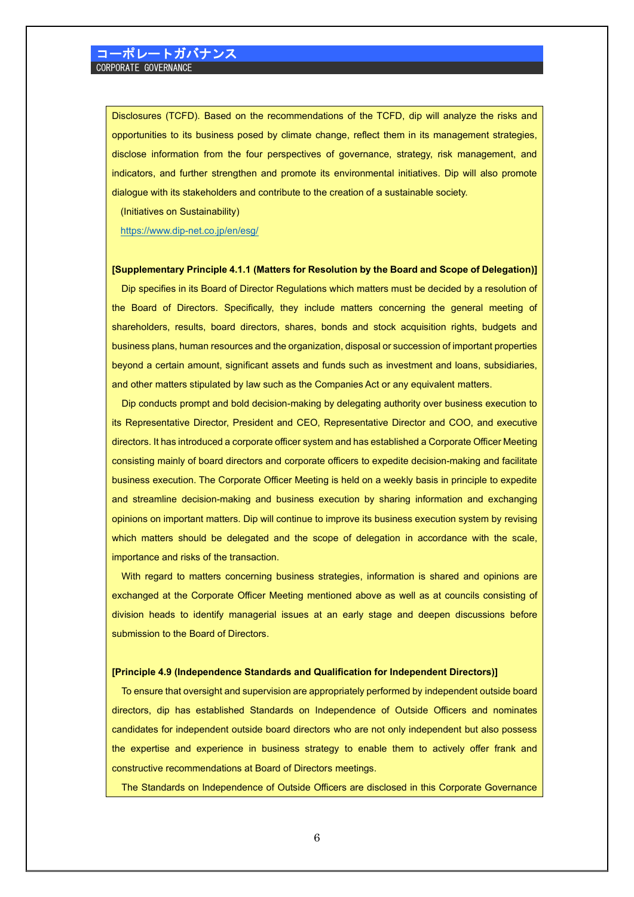Disclosures (TCFD). Based on the recommendations of the TCFD, dip will analyze the risks and opportunities to its business posed by climate change, reflect them in its management strategies, disclose information from the four perspectives of governance, strategy, risk management, and indicators, and further strengthen and promote its environmental initiatives. Dip will also promote dialogue with its stakeholders and contribute to the creation of a sustainable society.

(Initiatives on Sustainability)

<https://www.dip-net.co.jp/en/esg/>

#### **[Supplementary Principle 4.1.1 (Matters for Resolution by the Board and Scope of Delegation)]**

Dip specifies in its Board of Director Regulations which matters must be decided by a resolution of the Board of Directors. Specifically, they include matters concerning the general meeting of shareholders, results, board directors, shares, bonds and stock acquisition rights, budgets and business plans, human resources and the organization, disposal or succession of important properties beyond a certain amount, significant assets and funds such as investment and loans, subsidiaries, and other matters stipulated by law such as the Companies Act or any equivalent matters.

 Dip conducts prompt and bold decision-making by delegating authority over business execution to its Representative Director, President and CEO, Representative Director and COO, and executive directors. It has introduced a corporate officer system and has established a Corporate Officer Meeting consisting mainly of board directors and corporate officers to expedite decision-making and facilitate business execution. The Corporate Officer Meeting is held on a weekly basis in principle to expedite and streamline decision-making and business execution by sharing information and exchanging opinions on important matters. Dip will continue to improve its business execution system by revising which matters should be delegated and the scope of delegation in accordance with the scale, importance and risks of the transaction.

With regard to matters concerning business strategies, information is shared and opinions are exchanged at the Corporate Officer Meeting mentioned above as well as at councils consisting of division heads to identify managerial issues at an early stage and deepen discussions before submission to the Board of Directors.

#### **[Principle 4.9 (Independence Standards and Qualification for Independent Directors)]**

To ensure that oversight and supervision are appropriately performed by independent outside board directors, dip has established Standards on Independence of Outside Officers and nominates candidates for independent outside board directors who are not only independent but also possess the expertise and experience in business strategy to enable them to actively offer frank and constructive recommendations at Board of Directors meetings.

The Standards on Independence of Outside Officers are disclosed in this Corporate Governance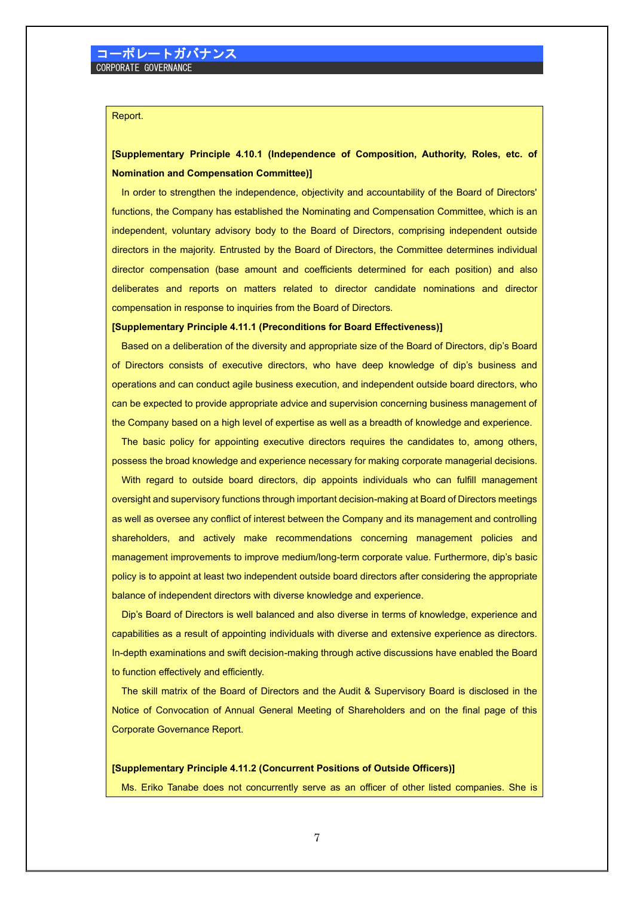### Report.

# **[Supplementary Principle 4.10.1 (Independence of Composition, Authority, Roles, etc. of Nomination and Compensation Committee)]**

In order to strengthen the independence, objectivity and accountability of the Board of Directors' functions, the Company has established the Nominating and Compensation Committee, which is an independent, voluntary advisory body to the Board of Directors, comprising independent outside directors in the majority. Entrusted by the Board of Directors, the Committee determines individual director compensation (base amount and coefficients determined for each position) and also deliberates and reports on matters related to director candidate nominations and director compensation in response to inquiries from the Board of Directors.

#### **[Supplementary Principle 4.11.1 (Preconditions for Board Effectiveness)]**

Based on a deliberation of the diversity and appropriate size of the Board of Directors, dip's Board of Directors consists of executive directors, who have deep knowledge of dip's business and operations and can conduct agile business execution, and independent outside board directors, who can be expected to provide appropriate advice and supervision concerning business management of the Company based on a high level of expertise as well as a breadth of knowledge and experience.

The basic policy for appointing executive directors requires the candidates to, among others, possess the broad knowledge and experience necessary for making corporate managerial decisions.

 With regard to outside board directors, dip appoints individuals who can fulfill management oversight and supervisory functions through important decision-making at Board of Directors meetings as well as oversee any conflict of interest between the Company and its management and controlling shareholders, and actively make recommendations concerning management policies and management improvements to improve medium/long-term corporate value. Furthermore, dip's basic policy is to appoint at least two independent outside board directors after considering the appropriate balance of independent directors with diverse knowledge and experience.

 Dip's Board of Directors is well balanced and also diverse in terms of knowledge, experience and capabilities as a result of appointing individuals with diverse and extensive experience as directors. In-depth examinations and swift decision-making through active discussions have enabled the Board to function effectively and efficiently.

The skill matrix of the Board of Directors and the Audit & Supervisory Board is disclosed in the Notice of Convocation of Annual General Meeting of Shareholders and on the final page of this Corporate Governance Report.

#### **[Supplementary Principle 4.11.2 (Concurrent Positions of Outside Officers)]**

Ms. Eriko Tanabe does not concurrently serve as an officer of other listed companies. She is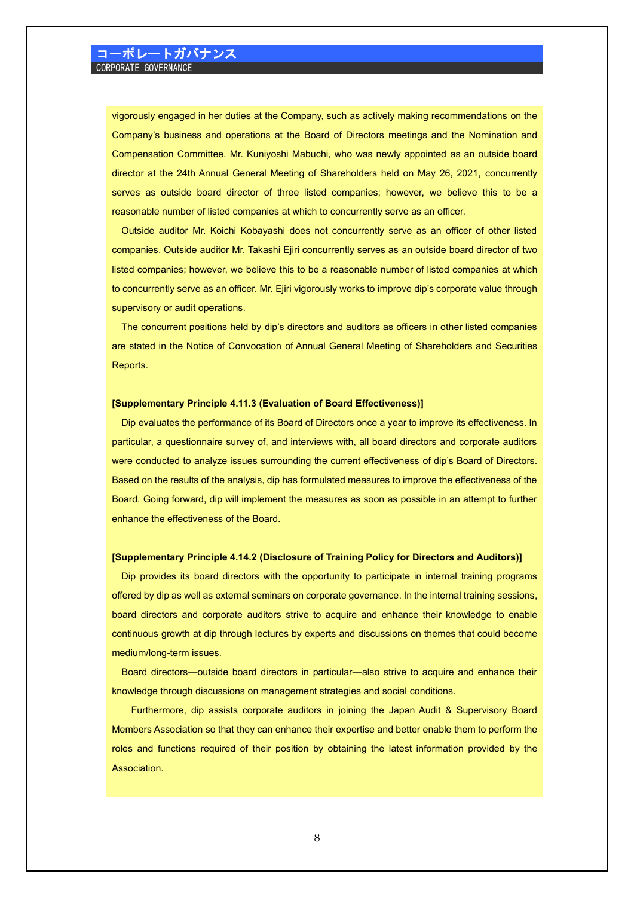vigorously engaged in her duties at the Company, such as actively making recommendations on the Company's business and operations at the Board of Directors meetings and the Nomination and Compensation Committee. Mr. Kuniyoshi Mabuchi, who was newly appointed as an outside board director at the 24th Annual General Meeting of Shareholders held on May 26, 2021, concurrently serves as outside board director of three listed companies; however, we believe this to be a reasonable number of listed companies at which to concurrently serve as an officer.

Outside auditor Mr. Koichi Kobayashi does not concurrently serve as an officer of other listed companies. Outside auditor Mr. Takashi Ejiri concurrently serves as an outside board director of two listed companies; however, we believe this to be a reasonable number of listed companies at which to concurrently serve as an officer. Mr. Ejiri vigorously works to improve dip's corporate value through supervisory or audit operations.

The concurrent positions held by dip's directors and auditors as officers in other listed companies are stated in the Notice of Convocation of Annual General Meeting of Shareholders and Securities Reports.

### **[Supplementary Principle 4.11.3 (Evaluation of Board Effectiveness)]**

Dip evaluates the performance of its Board of Directors once a year to improve its effectiveness. In particular, a questionnaire survey of, and interviews with, all board directors and corporate auditors were conducted to analyze issues surrounding the current effectiveness of dip's Board of Directors. Based on the results of the analysis, dip has formulated measures to improve the effectiveness of the Board. Going forward, dip will implement the measures as soon as possible in an attempt to further enhance the effectiveness of the Board.

#### **[Supplementary Principle 4.14.2 (Disclosure of Training Policy for Directors and Auditors)]**

Dip provides its board directors with the opportunity to participate in internal training programs offered by dip as well as external seminars on corporate governance. In the internal training sessions, board directors and corporate auditors strive to acquire and enhance their knowledge to enable continuous growth at dip through lectures by experts and discussions on themes that could become medium/long-term issues.

 Board directors—outside board directors in particular—also strive to acquire and enhance their knowledge through discussions on management strategies and social conditions.

 Furthermore, dip assists corporate auditors in joining the Japan Audit & Supervisory Board Members Association so that they can enhance their expertise and better enable them to perform the roles and functions required of their position by obtaining the latest information provided by the Association.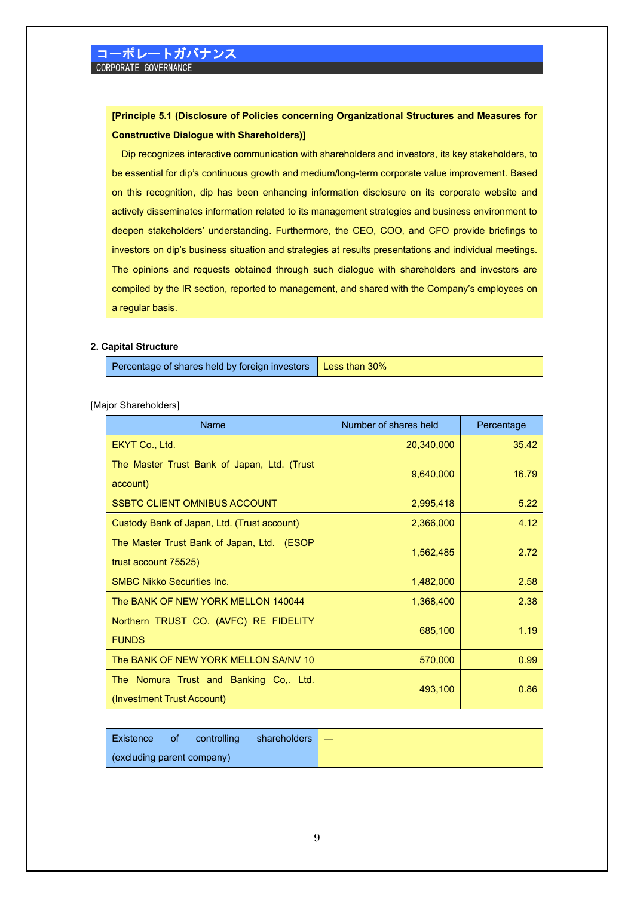# **[Principle 5.1 (Disclosure of Policies concerning Organizational Structures and Measures for Constructive Dialogue with Shareholders)]**

Dip recognizes interactive communication with shareholders and investors, its key stakeholders, to be essential for dip's continuous growth and medium/long-term corporate value improvement. Based on this recognition, dip has been enhancing information disclosure on its corporate website and actively disseminates information related to its management strategies and business environment to deepen stakeholders' understanding. Furthermore, the CEO, COO, and CFO provide briefings to investors on dip's business situation and strategies at results presentations and individual meetings. The opinions and requests obtained through such dialogue with shareholders and investors are compiled by the IR section, reported to management, and shared with the Company's employees on a regular basis.

### **2. Capital Structure**

Percentage of shares held by foreign investors | Less than 30%

[Major Shareholders]

| <b>Name</b>                                                          | Number of shares held | Percentage |  |  |  |
|----------------------------------------------------------------------|-----------------------|------------|--|--|--|
| EKYT Co., Ltd.                                                       | 20,340,000            | 35.42      |  |  |  |
| The Master Trust Bank of Japan, Ltd. (Trust<br>account)              | 9,640,000             | 16.79      |  |  |  |
| <b>SSBTC CLIENT OMNIBUS ACCOUNT</b>                                  | 2,995,418             | 5.22       |  |  |  |
| Custody Bank of Japan, Ltd. (Trust account)                          | 2,366,000             | 4.12       |  |  |  |
| The Master Trust Bank of Japan, Ltd. (ESOP<br>trust account 75525)   | 1,562,485             | 2.72       |  |  |  |
| <b>SMBC Nikko Securities Inc.</b>                                    | 1,482,000             | 2.58       |  |  |  |
| The BANK OF NEW YORK MELLON 140044                                   | 1,368,400             | 2.38       |  |  |  |
| Northern TRUST CO. (AVFC) RE FIDELITY<br><b>FUNDS</b>                | 685,100               | 1.19       |  |  |  |
| The BANK OF NEW YORK MELLON SA/NV 10                                 | 570,000               | 0.99       |  |  |  |
| The Nomura Trust and Banking Co,. Ltd.<br>(Investment Trust Account) | 493,100               | 0.86       |  |  |  |

| l Existence of             | controlling | shareholders $\Box$ |  |
|----------------------------|-------------|---------------------|--|
| (excluding parent company) |             |                     |  |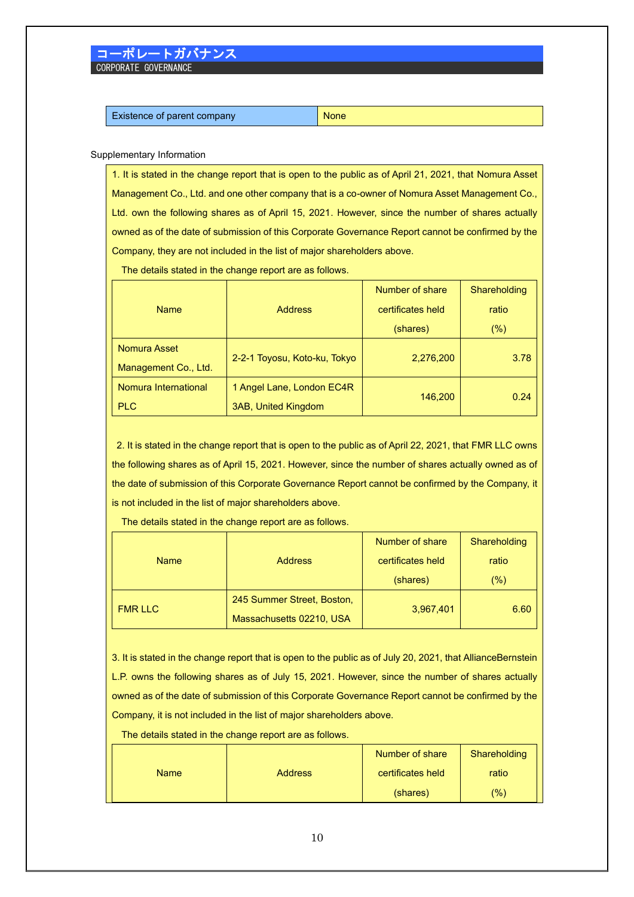#### Supplementary Information

1. It is stated in the change report that is open to the public as of April 21, 2021, that Nomura Asset Management Co., Ltd. and one other company that is a co-owner of Nomura Asset Management Co., Ltd. own the following shares as of April 15, 2021. However, since the number of shares actually owned as of the date of submission of this Corporate Governance Report cannot be confirmed by the Company, they are not included in the list of major shareholders above.

The details stated in the change report are as follows.

|                               |                              | Number of share   | Shareholding |  |  |
|-------------------------------|------------------------------|-------------------|--------------|--|--|
| <b>Address</b><br><b>Name</b> |                              | certificates held | ratio        |  |  |
|                               |                              | (shares)          | $(\%)$       |  |  |
| Nomura Asset                  |                              |                   |              |  |  |
| Management Co., Ltd.          | 2-2-1 Toyosu, Koto-ku, Tokyo | 2,276,200         | 3.78         |  |  |
| Nomura International          | 1 Angel Lane, London EC4R    |                   |              |  |  |
| <b>PLC</b>                    | <b>3AB, United Kingdom</b>   | 146,200           | 0.24         |  |  |

2. It is stated in the change report that is open to the public as of April 22, 2021, that FMR LLC owns the following shares as of April 15, 2021. However, since the number of shares actually owned as of the date of submission of this Corporate Governance Report cannot be confirmed by the Company, it is not included in the list of major shareholders above.

The details stated in the change report are as follows.

| <b>Address</b><br><b>Name</b> |                            | Number of share   | Shareholding |  |  |
|-------------------------------|----------------------------|-------------------|--------------|--|--|
|                               |                            | certificates held | ratio        |  |  |
|                               |                            | (shares)          | (%)          |  |  |
| <b>FMR LLC</b>                | 245 Summer Street, Boston, | 3,967,401         |              |  |  |
|                               | Massachusetts 02210, USA   |                   | 6.60         |  |  |

3. It is stated in the change report that is open to the public as of July 20, 2021, that AllianceBernstein L.P. owns the following shares as of July 15, 2021. However, since the number of shares actually owned as of the date of submission of this Corporate Governance Report cannot be confirmed by the Company, it is not included in the list of major shareholders above.

The details stated in the change report are as follows.

|             |                | Number of share | Shareholding |
|-------------|----------------|-----------------|--------------|
| <b>Name</b> | <b>Address</b> |                 | ratio        |
|             |                | (shares)        | $(\%)$       |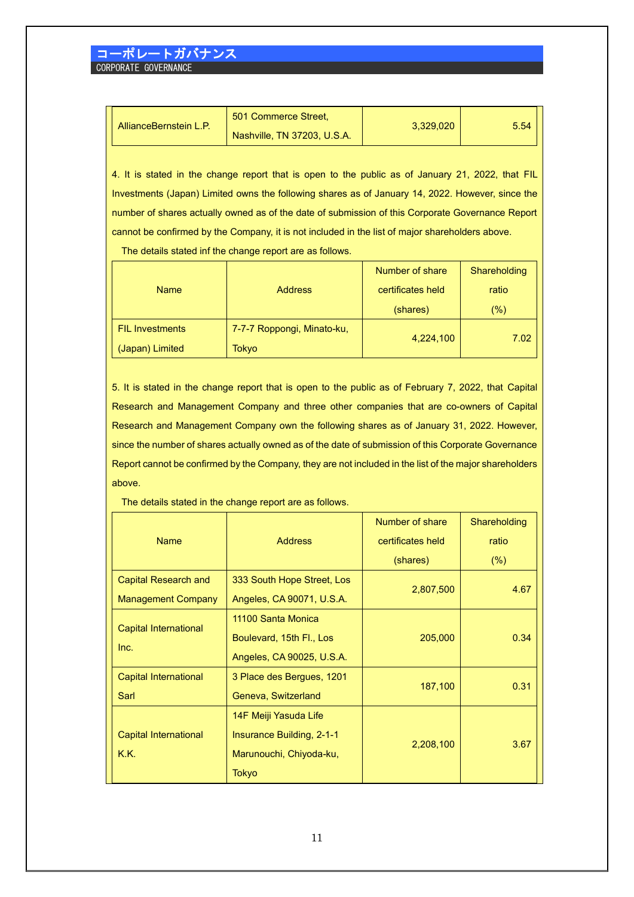| AllianceBernstein L.P. | 501 Commerce Street.        | 3.329.020 | 5.54 |
|------------------------|-----------------------------|-----------|------|
|                        | Nashville, TN 37203, U.S.A. |           |      |

4. It is stated in the change report that is open to the public as of January 21, 2022, that FIL Investments (Japan) Limited owns the following shares as of January 14, 2022. However, since the number of shares actually owned as of the date of submission of this Corporate Governance Report cannot be confirmed by the Company, it is not included in the list of major shareholders above.

The details stated inf the change report are as follows.

|                               |                            | Number of share   | Shareholding |  |  |  |
|-------------------------------|----------------------------|-------------------|--------------|--|--|--|
| <b>Address</b><br><b>Name</b> |                            | certificates held | ratio        |  |  |  |
|                               |                            | (shares)          | (%)          |  |  |  |
| <b>FIL Investments</b>        | 7-7-7 Roppongi, Minato-ku, | 4,224,100         |              |  |  |  |
| (Japan) Limited               | Tokyo                      |                   | 7.02         |  |  |  |

5. It is stated in the change report that is open to the public as of February 7, 2022, that Capital Research and Management Company and three other companies that are co-owners of Capital Research and Management Company own the following shares as of January 31, 2022. However, since the number of shares actually owned as of the date of submission of this Corporate Governance Report cannot be confirmed by the Company, they are not included in the list of the major shareholders above.

The details stated in the change report are as follows.

| <b>Name</b><br><b>Address</b>        |                                  | Number of share   | Shareholding |  |  |
|--------------------------------------|----------------------------------|-------------------|--------------|--|--|
|                                      |                                  | certificates held | ratio        |  |  |
|                                      |                                  | (shares)          | (% )         |  |  |
| <b>Capital Research and</b>          | 333 South Hope Street, Los       |                   | 4.67         |  |  |
| <b>Management Company</b>            | Angeles, CA 90071, U.S.A.        | 2,807,500         |              |  |  |
|                                      | 11100 Santa Monica               |                   |              |  |  |
| <b>Capital International</b><br>Inc. | Boulevard, 15th Fl., Los         | 205,000           | 0.34         |  |  |
|                                      | Angeles, CA 90025, U.S.A.        |                   |              |  |  |
| <b>Capital International</b>         | 3 Place des Bergues, 1201        | 187,100           | 0.31         |  |  |
| Sarl                                 | Geneva, Switzerland              |                   |              |  |  |
|                                      | 14F Meiji Yasuda Life            |                   |              |  |  |
| <b>Capital International</b>         | <b>Insurance Building, 2-1-1</b> | 2,208,100         | 3.67         |  |  |
| K.K.                                 | Marunouchi, Chiyoda-ku,          |                   |              |  |  |
|                                      | Tokyo                            |                   |              |  |  |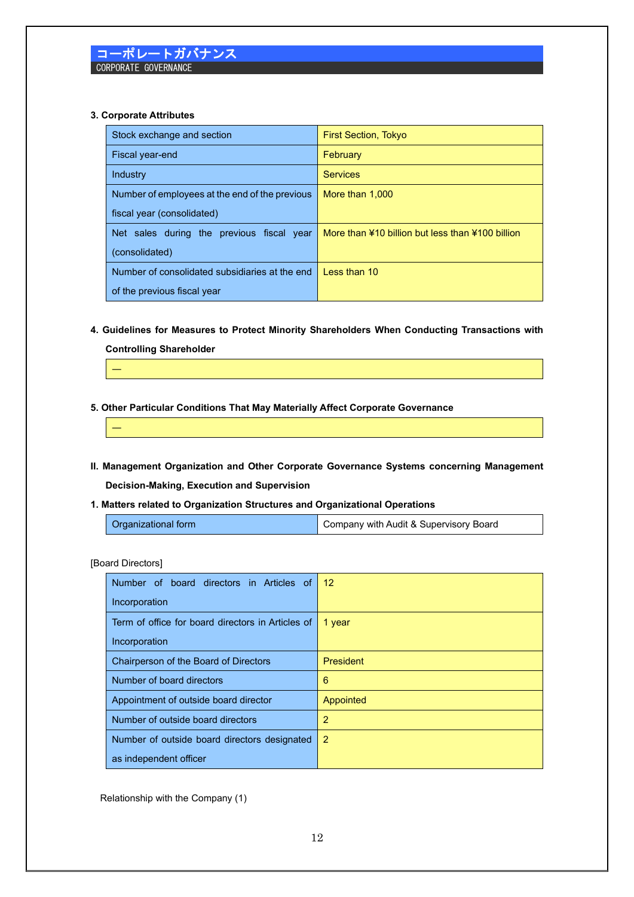### **3. Corporate Attributes**

| Stock exchange and section                     | <b>First Section, Tokyo</b>                      |
|------------------------------------------------|--------------------------------------------------|
| Fiscal year-end                                | February                                         |
| Industry                                       | <b>Services</b>                                  |
| Number of employees at the end of the previous | More than 1,000                                  |
| fiscal year (consolidated)                     |                                                  |
| Net sales during the previous fiscal year      | More than ¥10 billion but less than ¥100 billion |
| (consolidated)                                 |                                                  |
| Number of consolidated subsidiaries at the end | I ess than 10                                    |
| of the previous fiscal year                    |                                                  |

# **4. Guidelines for Measures to Protect Minority Shareholders When Conducting Transactions with Controlling Shareholder**



### **5. Other Particular Conditions That May Materially Affect Corporate Governance**

- **II. Management Organization and Other Corporate Governance Systems concerning Management Decision-Making, Execution and Supervision**
- **1. Matters related to Organization Structures and Organizational Operations**

| Organizational form | Company with Audit & Supervisory Board |
|---------------------|----------------------------------------|
|---------------------|----------------------------------------|

### [Board Directors]

―

| Number of board directors in Articles of          | 12               |
|---------------------------------------------------|------------------|
| Incorporation                                     |                  |
| Term of office for board directors in Articles of | 1 year           |
| Incorporation                                     |                  |
| Chairperson of the Board of Directors             | <b>President</b> |
| Number of board directors                         | 6                |
| Appointment of outside board director             | Appointed        |
| Number of outside board directors                 | 2                |
| Number of outside board directors designated      | $\overline{2}$   |
| as independent officer                            |                  |

Relationship with the Company (1)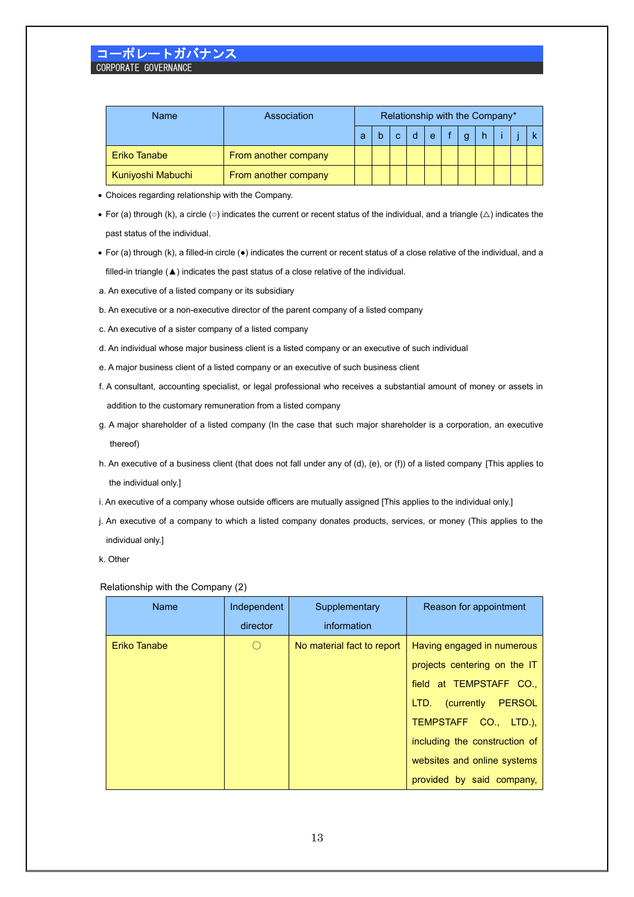| <b>Name</b>       | Association          | Relationship with the Company* |  |  |  |   |  |  |  |  |  |
|-------------------|----------------------|--------------------------------|--|--|--|---|--|--|--|--|--|
|                   |                      | a                              |  |  |  | e |  |  |  |  |  |
| Eriko Tanabe      | From another company |                                |  |  |  |   |  |  |  |  |  |
| Kuniyoshi Mabuchi | From another company |                                |  |  |  |   |  |  |  |  |  |

- Choices regarding relationship with the Company.
- For (a) through (k), a circle (○) indicates the current or recent status of the individual, and a triangle (△) indicates the past status of the individual.
- For (a) through (k), a filled-in circle (●) indicates the current or recent status of a close relative of the individual, and a filled-in triangle (▲) indicates the past status of a close relative of the individual.
- a. An executive of a listed company or its subsidiary
- b. An executive or a non-executive director of the parent company of a listed company
- c. An executive of a sister company of a listed company
- d. An individual whose major business client is a listed company or an executive of such individual
- e. A major business client of a listed company or an executive of such business client
- f. A consultant, accounting specialist, or legal professional who receives a substantial amount of money or assets in addition to the customary remuneration from a listed company
- g. A major shareholder of a listed company (In the case that such major shareholder is a corporation, an executive thereof)
- h. An executive of a business client (that does not fall under any of (d), (e), or (f)) of a listed company [This applies to the individual only.]
- i. An executive of a company whose outside officers are mutually assigned [This applies to the individual only.]
- j. An executive of a company to which a listed company donates products, services, or money (This applies to the individual only.]
- k. Other

#### Relationship with the Company (2)

| Name         | Independent                                     | Supplementary              | Reason for appointment        |
|--------------|-------------------------------------------------|----------------------------|-------------------------------|
|              | director                                        | information                |                               |
| Eriko Tanabe | $\left( \begin{array}{c} 1 \end{array} \right)$ | No material fact to report | Having engaged in numerous    |
|              |                                                 |                            | projects centering on the IT  |
|              |                                                 |                            | field at TEMPSTAFF CO.,       |
|              |                                                 |                            | LTD. (currently PERSOL        |
|              |                                                 |                            | TEMPSTAFF CO., LTD.),         |
|              |                                                 |                            | including the construction of |
|              |                                                 |                            | websites and online systems   |
|              |                                                 |                            | provided by said company,     |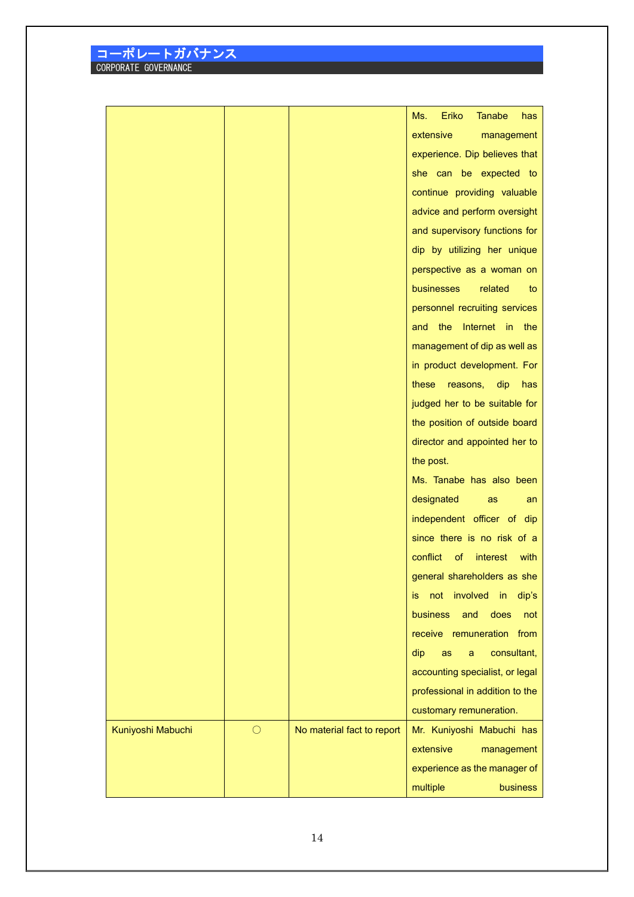|                   |            |                            | Eriko<br>Ms.<br><b>Tanabe</b><br>has      |
|-------------------|------------|----------------------------|-------------------------------------------|
|                   |            |                            | extensive<br>management                   |
|                   |            |                            | experience. Dip believes that             |
|                   |            |                            | she can be expected to                    |
|                   |            |                            | continue providing valuable               |
|                   |            |                            | advice and perform oversight              |
|                   |            |                            | and supervisory functions for             |
|                   |            |                            |                                           |
|                   |            |                            | dip by utilizing her unique               |
|                   |            |                            | perspective as a woman on                 |
|                   |            |                            | businesses<br>related<br>to               |
|                   |            |                            | personnel recruiting services             |
|                   |            |                            | Internet in<br>the<br>the<br>and          |
|                   |            |                            | management of dip as well as              |
|                   |            |                            | in product development. For               |
|                   |            |                            | these<br>reasons,<br>dip<br>has           |
|                   |            |                            | judged her to be suitable for             |
|                   |            |                            | the position of outside board             |
|                   |            |                            | director and appointed her to             |
|                   |            |                            | the post.                                 |
|                   |            |                            | Ms. Tanabe has also been                  |
|                   |            |                            | designated<br>as<br>an                    |
|                   |            |                            | independent officer of dip                |
|                   |            |                            | since there is no risk of a               |
|                   |            |                            | conflict<br>of<br><i>interest</i><br>with |
|                   |            |                            | general shareholders as she               |
|                   |            |                            | involved<br>dip's<br>not<br>in<br>is.     |
|                   |            |                            | <b>business</b><br>and<br>does<br>not     |
|                   |            |                            | receive remuneration from                 |
|                   |            |                            | consultant,<br>dip<br>as<br>a             |
|                   |            |                            | accounting specialist, or legal           |
|                   |            |                            | professional in addition to the           |
|                   |            |                            | customary remuneration.                   |
| Kuniyoshi Mabuchi | $\bigcirc$ | No material fact to report | Mr. Kuniyoshi Mabuchi has                 |
|                   |            |                            | extensive                                 |
|                   |            |                            | management                                |
|                   |            |                            | experience as the manager of              |
|                   |            |                            | multiple<br><b>business</b>               |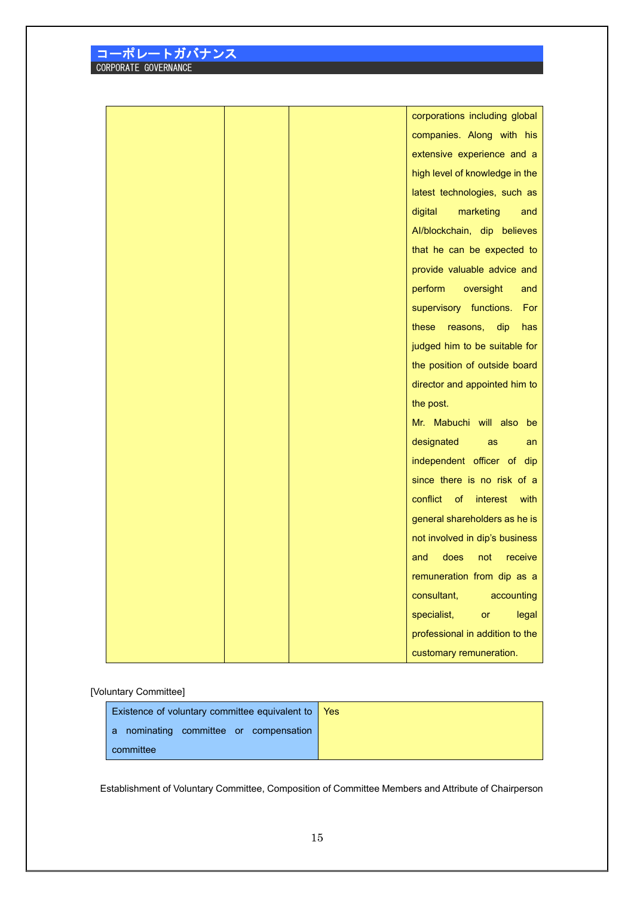| <u>'コーポレートガバナンス</u>  |  |
|----------------------|--|
| CORPORATE GOVERNANCE |  |

|  | corporations including global     |
|--|-----------------------------------|
|  | companies. Along with his         |
|  | extensive experience and a        |
|  | high level of knowledge in the    |
|  | latest technologies, such as      |
|  | digital<br>marketing<br>and       |
|  | Al/blockchain, dip believes       |
|  | that he can be expected to        |
|  | provide valuable advice and       |
|  | perform<br>oversight<br>and       |
|  | supervisory functions.<br>For     |
|  | dip<br>these<br>reasons,<br>has   |
|  | judged him to be suitable for     |
|  | the position of outside board     |
|  | director and appointed him to     |
|  | the post.                         |
|  | Mr. Mabuchi will also be          |
|  | designated<br>as<br>an            |
|  | independent officer of dip        |
|  | since there is no risk of a       |
|  | conflict<br>of interest<br>with   |
|  | general shareholders as he is     |
|  | not involved in dip's business    |
|  | and<br>does<br>not<br>receive     |
|  | remuneration from dip as a        |
|  | consultant,<br>accounting         |
|  | specialist,<br><b>or</b><br>legal |
|  | professional in addition to the   |
|  | customary remuneration.           |

[Voluntary Committee]

| Existence of voluntary committee equivalent to $\sqrt{\frac{1}{12}}$ |  |
|----------------------------------------------------------------------|--|
| a nominating committee or compensation                               |  |
| committee                                                            |  |

Establishment of Voluntary Committee, Composition of Committee Members and Attribute of Chairperson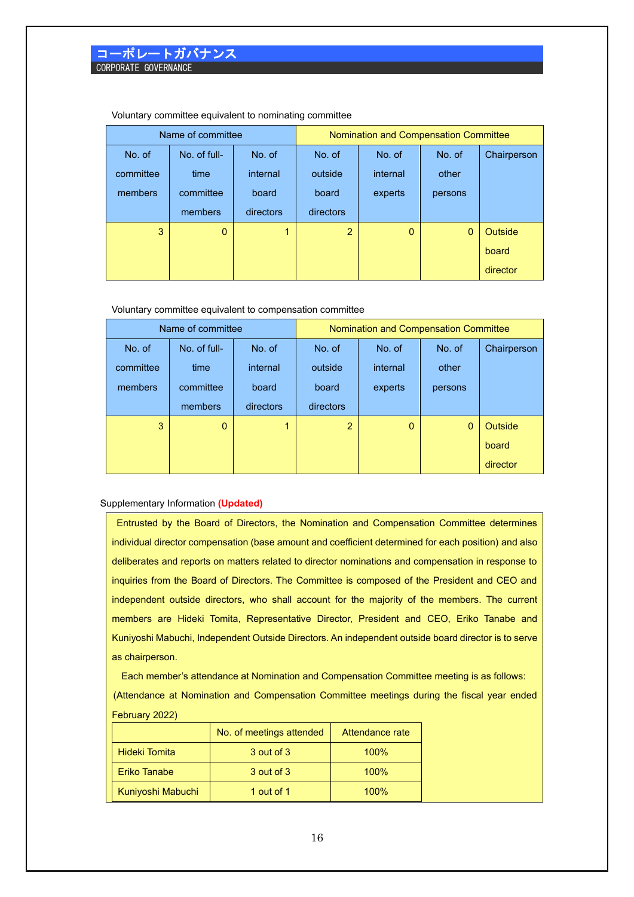|           | Name of committee |           |                | Nomination and Compensation Committee |         |             |  |  |
|-----------|-------------------|-----------|----------------|---------------------------------------|---------|-------------|--|--|
| No. of    | No. of full-      | No. of    | No. of         | No. of                                | No. of  | Chairperson |  |  |
| committee | time              | internal  | outside        | internal                              | other   |             |  |  |
| members   | committee         | board     | board          | experts                               | persons |             |  |  |
|           | members           | directors | directors      |                                       |         |             |  |  |
| 3         | $\mathbf{0}$      | 1         | $\overline{2}$ | $\mathbf{0}$                          | 0       | Outside     |  |  |
|           |                   |           |                |                                       |         | board       |  |  |
|           |                   |           |                |                                       |         | director    |  |  |

Voluntary committee equivalent to nominating committee

Voluntary committee equivalent to compensation committee

|           | Name of committee |           | Nomination and Compensation Committee |              |              |             |  |  |
|-----------|-------------------|-----------|---------------------------------------|--------------|--------------|-------------|--|--|
| No. of    | No. of full-      | No. of    | No. of                                | No. of       | No. of       | Chairperson |  |  |
| committee | time              | internal  | outside                               | internal     |              |             |  |  |
| members   | committee         | board     | board<br>experts                      |              | persons      |             |  |  |
|           | members           | directors | directors                             |              |              |             |  |  |
| 3         | $\overline{0}$    |           | $\overline{2}$                        | $\mathbf{0}$ | $\mathbf{0}$ | Outside     |  |  |
|           |                   |           |                                       |              |              | board       |  |  |
|           |                   |           |                                       |              |              | director    |  |  |

#### Supplementary Information **(Updated)**

Entrusted by the Board of Directors, the Nomination and Compensation Committee determines individual director compensation (base amount and coefficient determined for each position) and also deliberates and reports on matters related to director nominations and compensation in response to inquiries from the Board of Directors. The Committee is composed of the President and CEO and independent outside directors, who shall account for the majority of the members. The current members are Hideki Tomita, Representative Director, President and CEO, Eriko Tanabe and Kuniyoshi Mabuchi, Independent Outside Directors. An independent outside board director is to serve as chairperson.

Each member's attendance at Nomination and Compensation Committee meeting is as follows: (Attendance at Nomination and Compensation Committee meetings during the fiscal year ended February 2022)

|                      | No. of meetings attended | Attendance rate |
|----------------------|--------------------------|-----------------|
| <b>Hideki Tomita</b> | 3 out of 3               | 100%            |
| <b>Eriko Tanabe</b>  | 3 out of 3               | 100%            |
| Kuniyoshi Mabuchi    | 1 out of 1               | 100%            |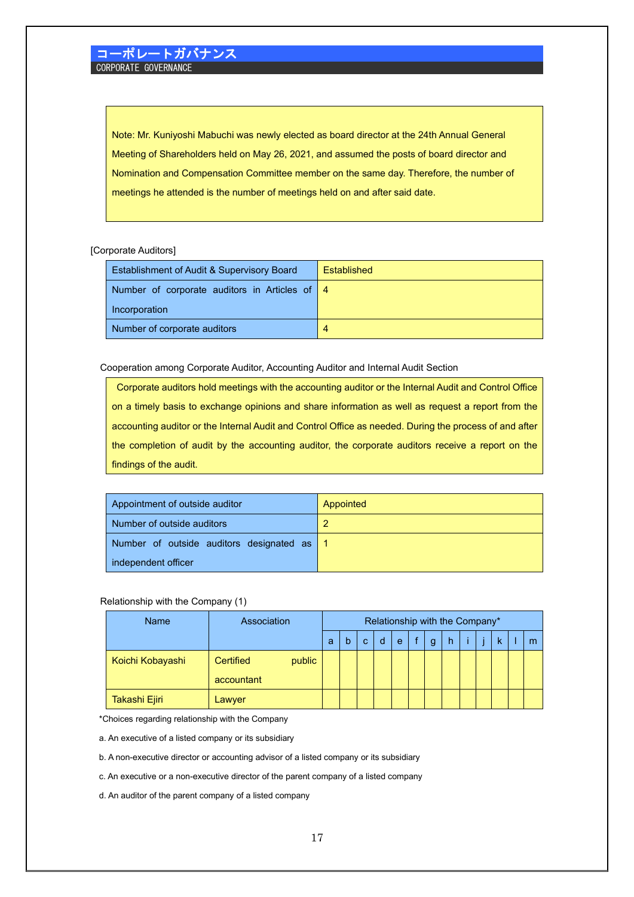Note: Mr. Kuniyoshi Mabuchi was newly elected as board director at the 24th Annual General Meeting of Shareholders held on May 26, 2021, and assumed the posts of board director and Nomination and Compensation Committee member on the same day. Therefore, the number of meetings he attended is the number of meetings held on and after said date.

[Corporate Auditors]

| Establishment of Audit & Supervisory Board    | <b>Fstablished</b> |
|-----------------------------------------------|--------------------|
| Number of corporate auditors in Articles of 4 |                    |
| Incorporation                                 |                    |
| Number of corporate auditors                  | 4                  |

Cooperation among Corporate Auditor, Accounting Auditor and Internal Audit Section

Corporate auditors hold meetings with the accounting auditor or the Internal Audit and Control Office on a timely basis to exchange opinions and share information as well as request a report from the accounting auditor or the Internal Audit and Control Office as needed. During the process of and after the completion of audit by the accounting auditor, the corporate auditors receive a report on the findings of the audit.

| Appointment of outside auditor             | Appointed |
|--------------------------------------------|-----------|
| Number of outside auditors                 | <u>ာ</u>  |
| Number of outside auditors designated as 1 |           |
| independent officer                        |           |

### Relationship with the Company (1)

| Name             | Association         |   |   |   |   |   | Relationship with the Company* |  |  |   |
|------------------|---------------------|---|---|---|---|---|--------------------------------|--|--|---|
|                  |                     | a | b | C | e | g | h                              |  |  | m |
| Koichi Kobayashi | public<br>Certified |   |   |   |   |   |                                |  |  |   |
|                  | accountant          |   |   |   |   |   |                                |  |  |   |
| Takashi Ejiri    | Lawyer              |   |   |   |   |   |                                |  |  |   |

\*Choices regarding relationship with the Company

a. An executive of a listed company or its subsidiary

b. A non-executive director or accounting advisor of a listed company or its subsidiary

c. An executive or a non-executive director of the parent company of a listed company

d. An auditor of the parent company of a listed company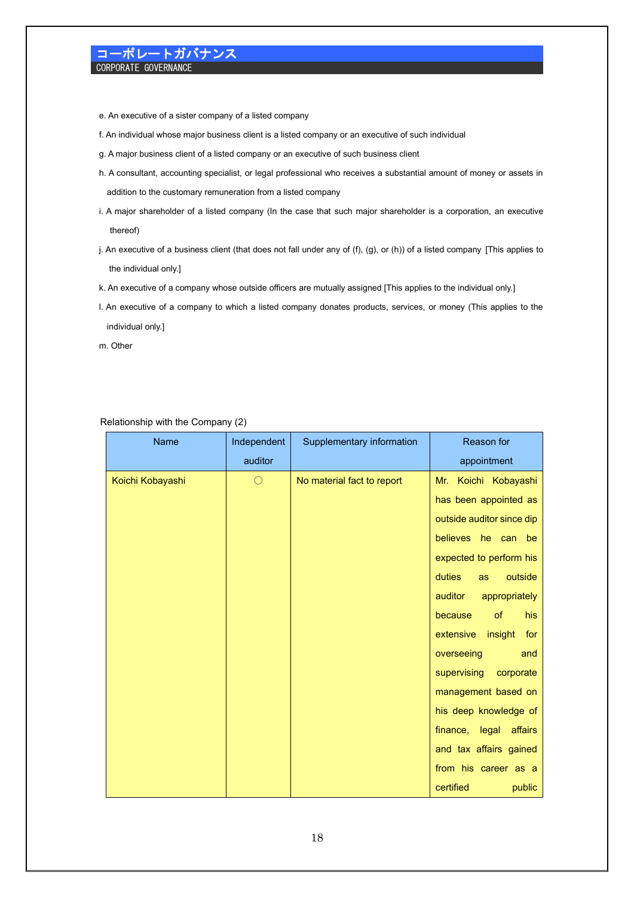e. An executive of a sister company of a listed company

- f. An individual whose major business client is a listed company or an executive of such individual
- g. A major business client of a listed company or an executive of such business client
- h. A consultant, accounting specialist, or legal professional who receives a substantial amount of money or assets in addition to the customary remuneration from a listed company
- i. A major shareholder of a listed company (In the case that such major shareholder is a corporation, an executive thereof)
- j. An executive of a business client (that does not fall under any of (f), (g), or (h)) of a listed company [This applies to the individual only.]
- k. An executive of a company whose outside officers are mutually assigned [This applies to the individual only.]
- l. An executive of a company to which a listed company donates products, services, or money (This applies to the individual only.]

m. Other

| Name             | Independent | Supplementary information  | Reason for                  |
|------------------|-------------|----------------------------|-----------------------------|
|                  | auditor     |                            | appointment                 |
| Koichi Kobayashi | $\bigcirc$  | No material fact to report | Koichi Kobayashi<br>Mr.     |
|                  |             |                            | has been appointed as       |
|                  |             |                            | outside auditor since dip   |
|                  |             |                            | believes he can be          |
|                  |             |                            | expected to perform his     |
|                  |             |                            | duties<br>outside<br>as     |
|                  |             |                            | auditor<br>appropriately    |
|                  |             |                            | because<br>of<br><b>his</b> |
|                  |             |                            | extensive<br>insight<br>for |
|                  |             |                            | overseeing<br>and           |
|                  |             |                            | supervising<br>corporate    |
|                  |             |                            | management based on         |
|                  |             |                            | his deep knowledge of       |
|                  |             |                            | finance, legal<br>affairs   |
|                  |             |                            | and tax affairs gained      |
|                  |             |                            | from his career as a        |
|                  |             |                            | certified<br>public         |

### Relationship with the Company (2)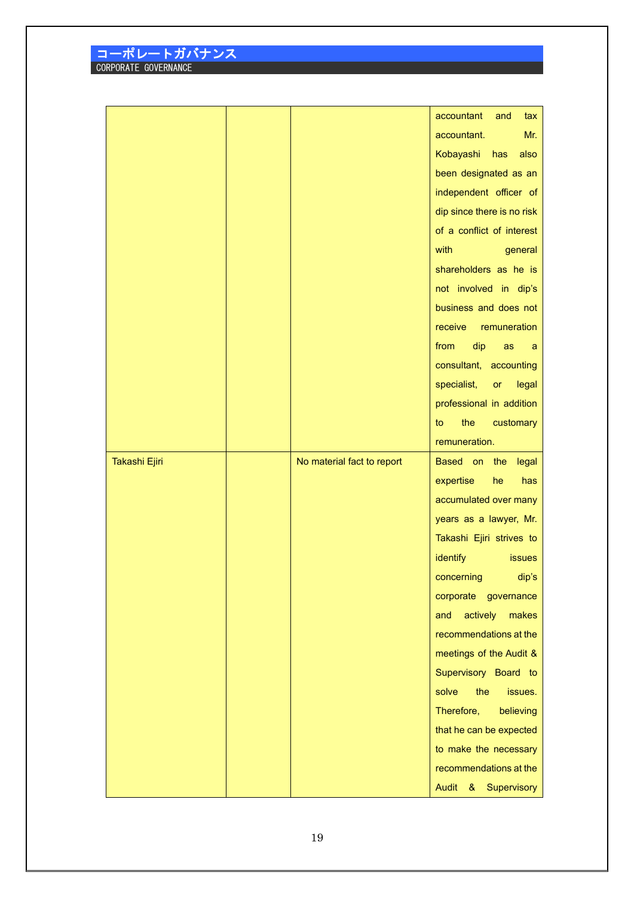|               |                            | accountant<br>tax<br>and                    |
|---------------|----------------------------|---------------------------------------------|
|               |                            | Mr.<br>accountant.                          |
|               |                            | Kobayashi<br>also<br>has                    |
|               |                            | been designated as an                       |
|               |                            | independent officer of                      |
|               |                            | dip since there is no risk                  |
|               |                            | of a conflict of interest                   |
|               |                            | with<br>general                             |
|               |                            | shareholders as he is                       |
|               |                            | not involved in dip's                       |
|               |                            | business and does not                       |
|               |                            | receive<br>remuneration                     |
|               |                            | from<br>dip<br>as<br>a                      |
|               |                            | consultant, accounting                      |
|               |                            | specialist,<br>or<br>legal                  |
|               |                            | professional in addition                    |
|               |                            | the<br>to<br>customary                      |
|               |                            | remuneration.                               |
|               |                            |                                             |
|               |                            |                                             |
| Takashi Ejiri | No material fact to report | Based on the<br>legal<br>he<br>has          |
|               |                            | expertise                                   |
|               |                            | accumulated over many                       |
|               |                            | years as a lawyer, Mr.                      |
|               |                            | Takashi Ejiri strives to<br><b>issues</b>   |
|               |                            | identify                                    |
|               |                            | concerning<br>dip's<br>corporate governance |
|               |                            | actively<br>makes<br>and                    |
|               |                            | recommendations at the                      |
|               |                            | meetings of the Audit &                     |
|               |                            | Supervisory Board to                        |
|               |                            | the<br>solve<br>issues.                     |
|               |                            | Therefore,<br>believing                     |
|               |                            | that he can be expected                     |
|               |                            | to make the necessary                       |
|               |                            | recommendations at the                      |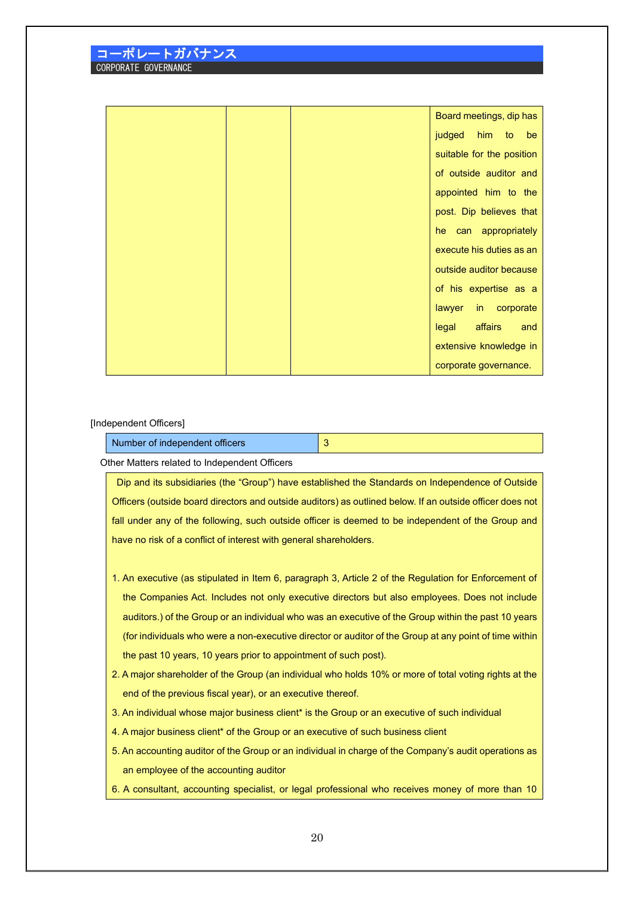|  | Board meetings, dip has   |
|--|---------------------------|
|  | judged him to be          |
|  | suitable for the position |
|  | of outside auditor and    |
|  | appointed him to the      |
|  | post. Dip believes that   |
|  | he can appropriately      |
|  | execute his duties as an  |
|  | outside auditor because   |
|  | of his expertise as a     |
|  | lawyer in corporate       |
|  | legal<br>affairs<br>and   |
|  | extensive knowledge in    |
|  | corporate governance.     |

#### [Independent Officers]

Number of independent officers **3** Other Matters related to Independent Officers

Dip and its subsidiaries (the "Group") have established the Standards on Independence of Outside Officers (outside board directors and outside auditors) as outlined below. If an outside officer does not fall under any of the following, such outside officer is deemed to be independent of the Group and have no risk of a conflict of interest with general shareholders.

- 1. An executive (as stipulated in Item 6, paragraph 3, Article 2 of the Regulation for Enforcement of the Companies Act. Includes not only executive directors but also employees. Does not include auditors.) of the Group or an individual who was an executive of the Group within the past 10 years (for individuals who were a non-executive director or auditor of the Group at any point of time within the past 10 years, 10 years prior to appointment of such post).
- 2. A major shareholder of the Group (an individual who holds 10% or more of total voting rights at the end of the previous fiscal year), or an executive thereof.
- 3. An individual whose major business client\* is the Group or an executive of such individual
- 4. A major business client\* of the Group or an executive of such business client
- 5. An accounting auditor of the Group or an individual in charge of the Company's audit operations as an employee of the accounting auditor
- 6. A consultant, accounting specialist, or legal professional who receives money of more than 10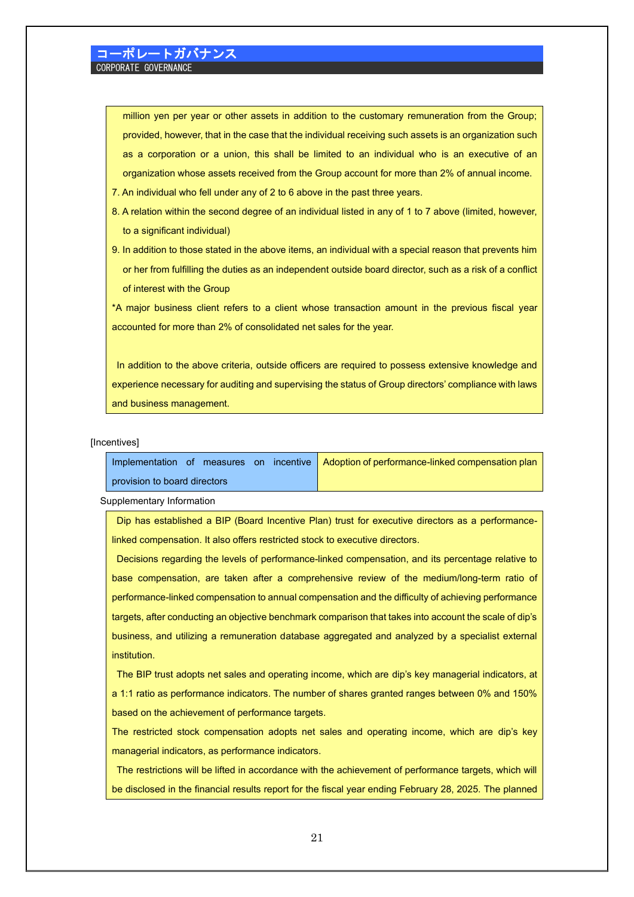million yen per year or other assets in addition to the customary remuneration from the Group; provided, however, that in the case that the individual receiving such assets is an organization such as a corporation or a union, this shall be limited to an individual who is an executive of an organization whose assets received from the Group account for more than 2% of annual income.

- 7. An individual who fell under any of 2 to 6 above in the past three years.
- 8. A relation within the second degree of an individual listed in any of 1 to 7 above (limited, however, to a significant individual)
- 9. In addition to those stated in the above items, an individual with a special reason that prevents him or her from fulfilling the duties as an independent outside board director, such as a risk of a conflict of interest with the Group

\*A major business client refers to a client whose transaction amount in the previous fiscal year accounted for more than 2% of consolidated net sales for the year.

In addition to the above criteria, outside officers are required to possess extensive knowledge and experience necessary for auditing and supervising the status of Group directors' compliance with laws and business management.

#### [Incentives]

|                              | Implementation of measures on incentive Adoption of performance-linked compensation plan |
|------------------------------|------------------------------------------------------------------------------------------|
| provision to board directors |                                                                                          |

Supplementary Information

Dip has established a BIP (Board Incentive Plan) trust for executive directors as a performancelinked compensation. It also offers restricted stock to executive directors.

Decisions regarding the levels of performance-linked compensation, and its percentage relative to base compensation, are taken after a comprehensive review of the medium/long-term ratio of performance-linked compensation to annual compensation and the difficulty of achieving performance targets, after conducting an objective benchmark comparison that takes into account the scale of dip's business, and utilizing a remuneration database aggregated and analyzed by a specialist external institution.

The BIP trust adopts net sales and operating income, which are dip's key managerial indicators, at a 1:1 ratio as performance indicators. The number of shares granted ranges between 0% and 150% based on the achievement of performance targets.

The restricted stock compensation adopts net sales and operating income, which are dip's key managerial indicators, as performance indicators.

The restrictions will be lifted in accordance with the achievement of performance targets, which will be disclosed in the financial results report for the fiscal year ending February 28, 2025. The planned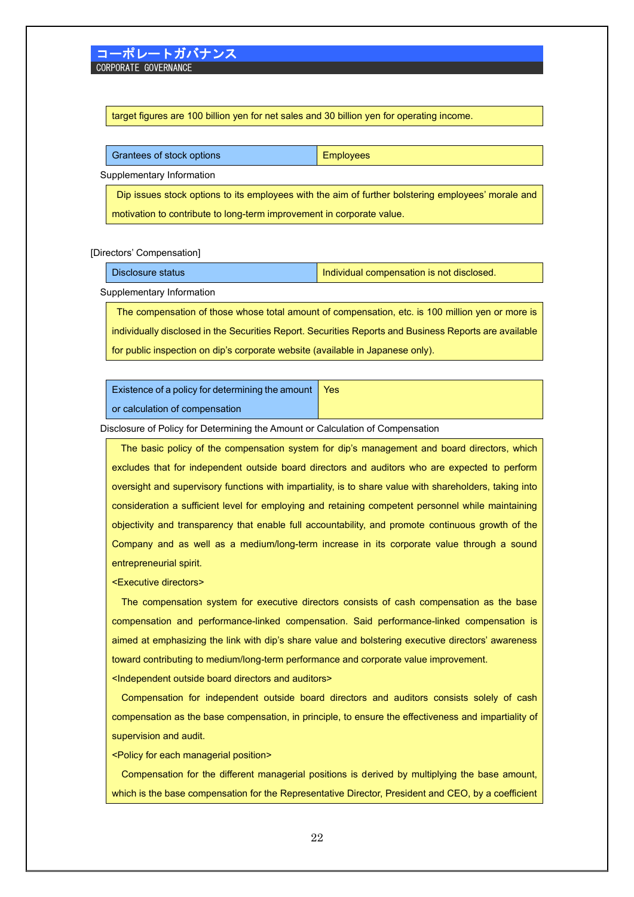target figures are 100 billion yen for net sales and 30 billion yen for operating income.

|                           | Grantees of stock options | Employees |
|---------------------------|---------------------------|-----------|
| Supplementary Information |                           |           |

Dip issues stock options to its employees with the aim of further bolstering employees' morale and motivation to contribute to long-term improvement in corporate value.

[Directors' Compensation]

| Disclosure status | Individual compensation is not disclosed. |
|-------------------|-------------------------------------------|
|-------------------|-------------------------------------------|

Supplementary Information

The compensation of those whose total amount of compensation, etc. is 100 million yen or more is individually disclosed in the Securities Report. Securities Reports and Business Reports are available for public inspection on dip's corporate website (available in Japanese only).

Existence of a policy for determining the amount or calculation of compensation Yes

Disclosure of Policy for Determining the Amount or Calculation of Compensation

The basic policy of the compensation system for dip's management and board directors, which excludes that for independent outside board directors and auditors who are expected to perform oversight and supervisory functions with impartiality, is to share value with shareholders, taking into consideration a sufficient level for employing and retaining competent personnel while maintaining objectivity and transparency that enable full accountability, and promote continuous growth of the Company and as well as a medium/long-term increase in its corporate value through a sound entrepreneurial spirit.

<Executive directors>

The compensation system for executive directors consists of cash compensation as the base compensation and performance-linked compensation. Said performance-linked compensation is aimed at emphasizing the link with dip's share value and bolstering executive directors' awareness toward contributing to medium/long-term performance and corporate value improvement.

<Independent outside board directors and auditors>

Compensation for independent outside board directors and auditors consists solely of cash compensation as the base compensation, in principle, to ensure the effectiveness and impartiality of supervision and audit.

<Policy for each managerial position>

Compensation for the different managerial positions is derived by multiplying the base amount, which is the base compensation for the Representative Director, President and CEO, by a coefficient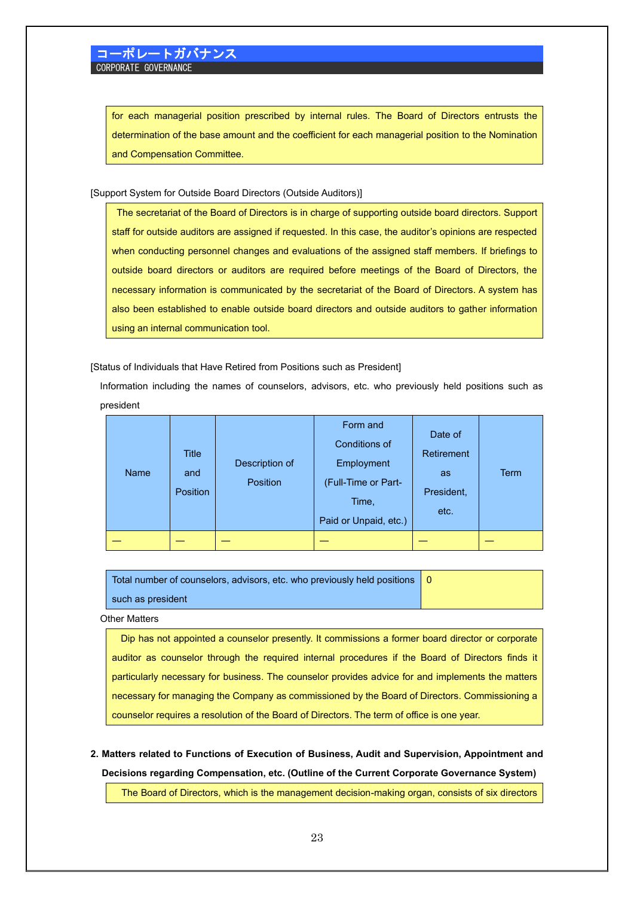for each managerial position prescribed by internal rules. The Board of Directors entrusts the determination of the base amount and the coefficient for each managerial position to the Nomination and Compensation Committee.

[Support System for Outside Board Directors (Outside Auditors)]

The secretariat of the Board of Directors is in charge of supporting outside board directors. Support staff for outside auditors are assigned if requested. In this case, the auditor's opinions are respected when conducting personnel changes and evaluations of the assigned staff members. If briefings to outside board directors or auditors are required before meetings of the Board of Directors, the necessary information is communicated by the secretariat of the Board of Directors. A system has also been established to enable outside board directors and outside auditors to gather information using an internal communication tool.

[Status of Individuals that Have Retired from Positions such as President]

Information including the names of counselors, advisors, etc. who previously held positions such as president

| <b>Name</b> | <b>Title</b><br>and<br><b>Position</b> | Description of<br><b>Position</b> | Form and<br>Conditions of<br>Employment<br>(Full-Time or Part-<br>Time,<br>Paid or Unpaid, etc.) | Date of<br>Retirement<br><b>as</b><br>President,<br>etc. | <b>Term</b> |
|-------------|----------------------------------------|-----------------------------------|--------------------------------------------------------------------------------------------------|----------------------------------------------------------|-------------|
|             |                                        |                                   |                                                                                                  |                                                          |             |

| Total number of counselors, advisors, etc. who previously held positions   0 |  |
|------------------------------------------------------------------------------|--|
| such as president                                                            |  |

Other Matters

Dip has not appointed a counselor presently. It commissions a former board director or corporate auditor as counselor through the required internal procedures if the Board of Directors finds it particularly necessary for business. The counselor provides advice for and implements the matters necessary for managing the Company as commissioned by the Board of Directors. Commissioning a counselor requires a resolution of the Board of Directors. The term of office is one year.

**2. Matters related to Functions of Execution of Business, Audit and Supervision, Appointment and Decisions regarding Compensation, etc. (Outline of the Current Corporate Governance System)**

The Board of Directors, which is the management decision-making organ, consists of six directors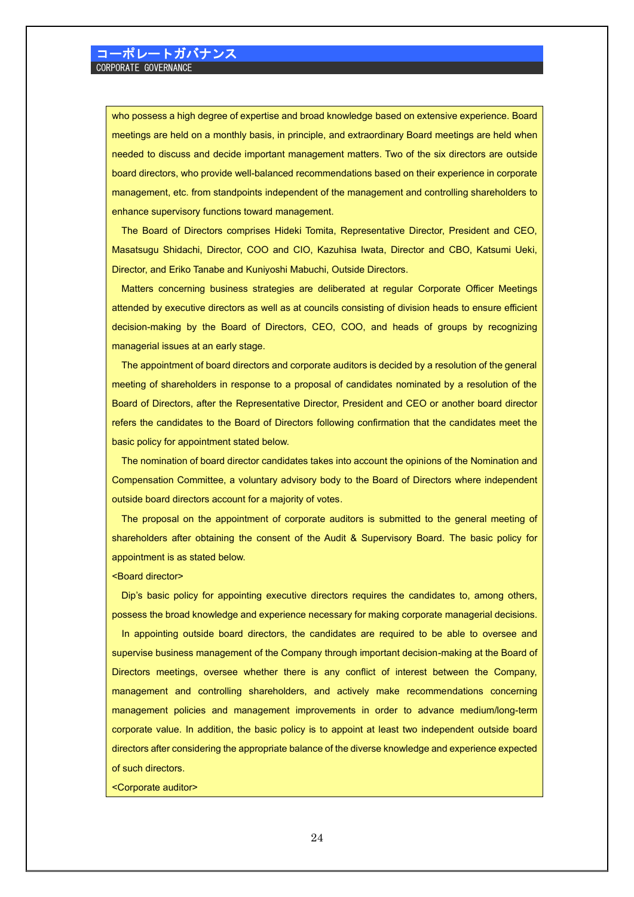who possess a high degree of expertise and broad knowledge based on extensive experience. Board meetings are held on a monthly basis, in principle, and extraordinary Board meetings are held when needed to discuss and decide important management matters. Two of the six directors are outside board directors, who provide well-balanced recommendations based on their experience in corporate management, etc. from standpoints independent of the management and controlling shareholders to enhance supervisory functions toward management.

The Board of Directors comprises Hideki Tomita, Representative Director, President and CEO, Masatsugu Shidachi, Director, COO and CIO, Kazuhisa Iwata, Director and CBO, Katsumi Ueki, Director, and Eriko Tanabe and Kuniyoshi Mabuchi, Outside Directors.

Matters concerning business strategies are deliberated at regular Corporate Officer Meetings attended by executive directors as well as at councils consisting of division heads to ensure efficient decision-making by the Board of Directors, CEO, COO, and heads of groups by recognizing managerial issues at an early stage.

The appointment of board directors and corporate auditors is decided by a resolution of the general meeting of shareholders in response to a proposal of candidates nominated by a resolution of the Board of Directors, after the Representative Director, President and CEO or another board director refers the candidates to the Board of Directors following confirmation that the candidates meet the basic policy for appointment stated below.

The nomination of board director candidates takes into account the opinions of the Nomination and Compensation Committee, a voluntary advisory body to the Board of Directors where independent outside board directors account for a majority of votes.

The proposal on the appointment of corporate auditors is submitted to the general meeting of shareholders after obtaining the consent of the Audit & Supervisory Board. The basic policy for appointment is as stated below.

<Board director>

Dip's basic policy for appointing executive directors requires the candidates to, among others, possess the broad knowledge and experience necessary for making corporate managerial decisions.

 In appointing outside board directors, the candidates are required to be able to oversee and supervise business management of the Company through important decision-making at the Board of Directors meetings, oversee whether there is any conflict of interest between the Company, management and controlling shareholders, and actively make recommendations concerning management policies and management improvements in order to advance medium/long-term corporate value. In addition, the basic policy is to appoint at least two independent outside board directors after considering the appropriate balance of the diverse knowledge and experience expected of such directors.

#### <Corporate auditor>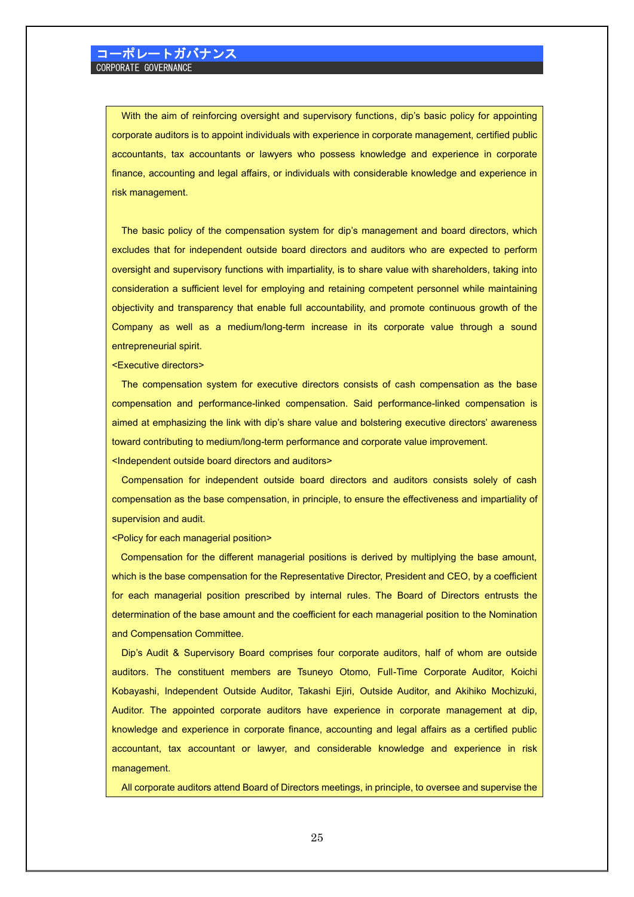With the aim of reinforcing oversight and supervisory functions, dip's basic policy for appointing corporate auditors is to appoint individuals with experience in corporate management, certified public accountants, tax accountants or lawyers who possess knowledge and experience in corporate finance, accounting and legal affairs, or individuals with considerable knowledge and experience in risk management.

The basic policy of the compensation system for dip's management and board directors, which excludes that for independent outside board directors and auditors who are expected to perform oversight and supervisory functions with impartiality, is to share value with shareholders, taking into consideration a sufficient level for employing and retaining competent personnel while maintaining objectivity and transparency that enable full accountability, and promote continuous growth of the Company as well as a medium/long-term increase in its corporate value through a sound entrepreneurial spirit.

<Executive directors>

The compensation system for executive directors consists of cash compensation as the base compensation and performance-linked compensation. Said performance-linked compensation is aimed at emphasizing the link with dip's share value and bolstering executive directors' awareness toward contributing to medium/long-term performance and corporate value improvement. <Independent outside board directors and auditors>

Compensation for independent outside board directors and auditors consists solely of cash compensation as the base compensation, in principle, to ensure the effectiveness and impartiality of supervision and audit.

<Policy for each managerial position>

Compensation for the different managerial positions is derived by multiplying the base amount, which is the base compensation for the Representative Director, President and CEO, by a coefficient for each managerial position prescribed by internal rules. The Board of Directors entrusts the determination of the base amount and the coefficient for each managerial position to the Nomination and Compensation Committee.

Dip's Audit & Supervisory Board comprises four corporate auditors, half of whom are outside auditors. The constituent members are Tsuneyo Otomo, Full-Time Corporate Auditor, Koichi Kobayashi, Independent Outside Auditor, Takashi Ejiri, Outside Auditor, and Akihiko Mochizuki, Auditor. The appointed corporate auditors have experience in corporate management at dip, knowledge and experience in corporate finance, accounting and legal affairs as a certified public accountant, tax accountant or lawyer, and considerable knowledge and experience in risk management.

All corporate auditors attend Board of Directors meetings, in principle, to oversee and supervise the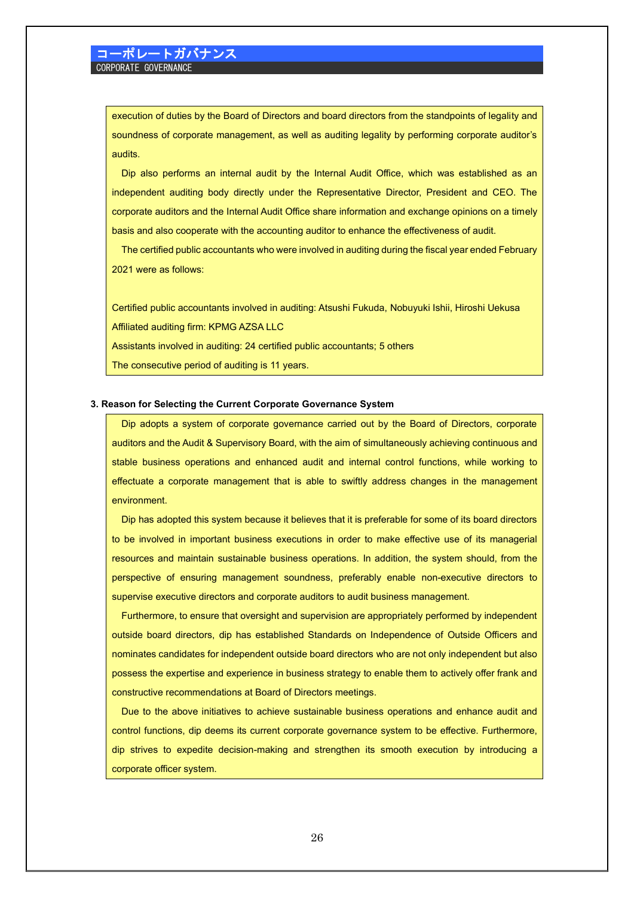execution of duties by the Board of Directors and board directors from the standpoints of legality and soundness of corporate management, as well as auditing legality by performing corporate auditor's audits.

Dip also performs an internal audit by the Internal Audit Office, which was established as an independent auditing body directly under the Representative Director, President and CEO. The corporate auditors and the Internal Audit Office share information and exchange opinions on a timely basis and also cooperate with the accounting auditor to enhance the effectiveness of audit.

The certified public accountants who were involved in auditing during the fiscal year ended February 2021 were as follows:

Certified public accountants involved in auditing: Atsushi Fukuda, Nobuyuki Ishii, Hiroshi Uekusa Affiliated auditing firm: KPMG AZSA LLC

Assistants involved in auditing: 24 certified public accountants; 5 others

The consecutive period of auditing is 11 years.

#### **3. Reason for Selecting the Current Corporate Governance System**

Dip adopts a system of corporate governance carried out by the Board of Directors, corporate auditors and the Audit & Supervisory Board, with the aim of simultaneously achieving continuous and stable business operations and enhanced audit and internal control functions, while working to effectuate a corporate management that is able to swiftly address changes in the management environment.

Dip has adopted this system because it believes that it is preferable for some of its board directors to be involved in important business executions in order to make effective use of its managerial resources and maintain sustainable business operations. In addition, the system should, from the perspective of ensuring management soundness, preferably enable non-executive directors to supervise executive directors and corporate auditors to audit business management.

Furthermore, to ensure that oversight and supervision are appropriately performed by independent outside board directors, dip has established Standards on Independence of Outside Officers and nominates candidates for independent outside board directors who are not only independent but also possess the expertise and experience in business strategy to enable them to actively offer frank and constructive recommendations at Board of Directors meetings.

Due to the above initiatives to achieve sustainable business operations and enhance audit and control functions, dip deems its current corporate governance system to be effective. Furthermore, dip strives to expedite decision-making and strengthen its smooth execution by introducing a corporate officer system.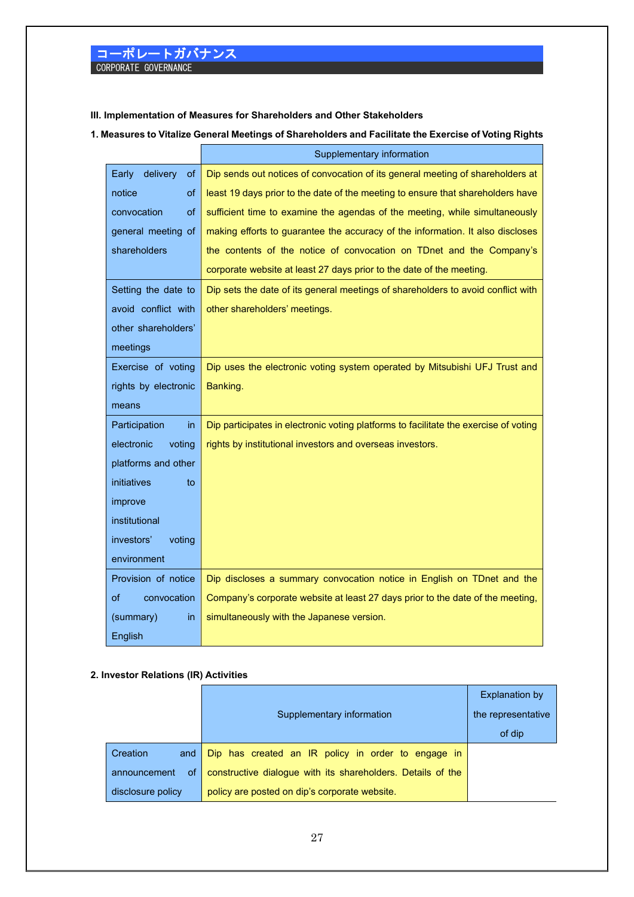### **III. Implementation of Measures for Shareholders and Other Stakeholders**

**1. Measures to Vitalize General Meetings of Shareholders and Facilitate the Exercise of Voting Rights**

|                          | Supplementary information                                                            |
|--------------------------|--------------------------------------------------------------------------------------|
| delivery<br>Early<br>0f  | Dip sends out notices of convocation of its general meeting of shareholders at       |
| notice<br>of             | least 19 days prior to the date of the meeting to ensure that shareholders have      |
| convocation<br><b>of</b> | sufficient time to examine the agendas of the meeting, while simultaneously          |
| general meeting of       | making efforts to guarantee the accuracy of the information. It also discloses       |
| shareholders             | the contents of the notice of convocation on TDnet and the Company's                 |
|                          | corporate website at least 27 days prior to the date of the meeting.                 |
| Setting the date to      | Dip sets the date of its general meetings of shareholders to avoid conflict with     |
| avoid conflict with      | other shareholders' meetings.                                                        |
| other shareholders'      |                                                                                      |
| meetings                 |                                                                                      |
| Exercise of voting       | Dip uses the electronic voting system operated by Mitsubishi UFJ Trust and           |
| rights by electronic     | Banking.                                                                             |
| means                    |                                                                                      |
| Participation<br>in      | Dip participates in electronic voting platforms to facilitate the exercise of voting |
| electronic<br>voting     | rights by institutional investors and overseas investors.                            |
| platforms and other      |                                                                                      |
| initiatives<br>to        |                                                                                      |
| improve                  |                                                                                      |
| institutional            |                                                                                      |
| investors'<br>voting     |                                                                                      |
| environment              |                                                                                      |
| Provision of notice      | Dip discloses a summary convocation notice in English on TDnet and the               |
| convocation<br>of        | Company's corporate website at least 27 days prior to the date of the meeting,       |
| (summary)<br>in          | simultaneously with the Japanese version.                                            |
| English                  |                                                                                      |

### **2. Investor Relations (IR) Activities**

|                    |                                                             | <b>Explanation by</b> |
|--------------------|-------------------------------------------------------------|-----------------------|
|                    | Supplementary information                                   | the representative    |
|                    |                                                             | of dip                |
| Creation<br>and    | Dip has created an IR policy in order to engage in          |                       |
| 0f<br>announcement | constructive dialogue with its shareholders. Details of the |                       |
| disclosure policy  | policy are posted on dip's corporate website.               |                       |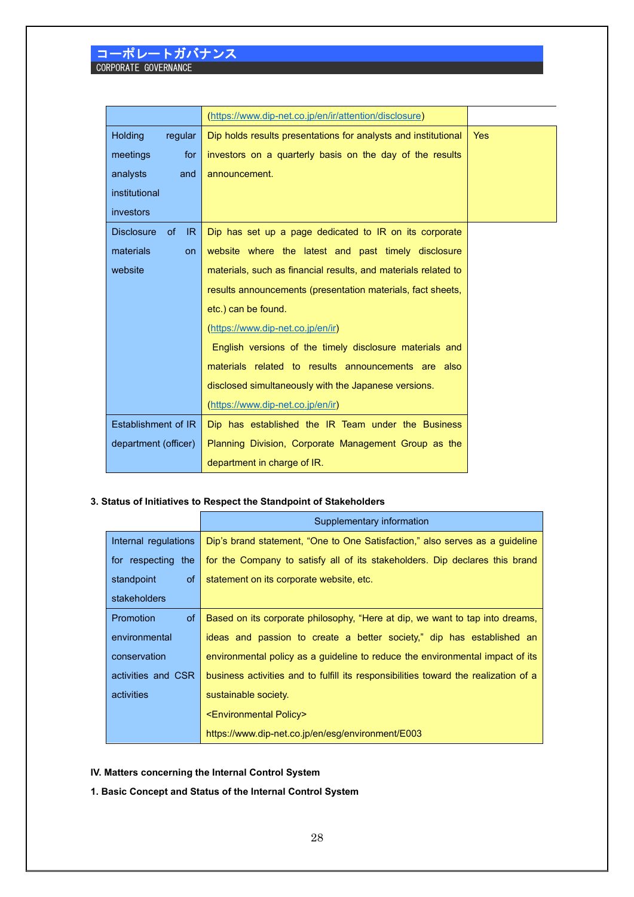|                                | (https://www.dip-net.co.jp/en/ir/attention/disclosure)         |            |
|--------------------------------|----------------------------------------------------------------|------------|
| Holding<br>regular             | Dip holds results presentations for analysts and institutional | <b>Yes</b> |
| meetings<br>for                | investors on a quarterly basis on the day of the results       |            |
| analysts<br>and                | announcement.                                                  |            |
| institutional                  |                                                                |            |
| investors                      |                                                                |            |
| <b>Disclosure</b><br>of<br>IR. | Dip has set up a page dedicated to IR on its corporate         |            |
| materials<br><b>on</b>         | website where the latest and past timely disclosure            |            |
| website                        | materials, such as financial results, and materials related to |            |
|                                | results announcements (presentation materials, fact sheets,    |            |
|                                | etc.) can be found.                                            |            |
|                                | (https://www.dip-net.co.jp/en/ir)                              |            |
|                                | English versions of the timely disclosure materials and        |            |
|                                | materials related to results announcements are also            |            |
|                                | disclosed simultaneously with the Japanese versions.           |            |
|                                | (https://www.dip-net.co.jp/en/ir)                              |            |
| Establishment of IR            | Dip has established the IR Team under the Business             |            |
| department (officer)           | Planning Division, Corporate Management Group as the           |            |
|                                | department in charge of IR.                                    |            |

### **3. Status of Initiatives to Respect the Standpoint of Stakeholders**

|                        | Supplementary information                                                           |
|------------------------|-------------------------------------------------------------------------------------|
| Internal regulations   | Dip's brand statement, "One to One Satisfaction," also serves as a guideline        |
| for respecting the     | for the Company to satisfy all of its stakeholders. Dip declares this brand         |
| standpoint<br>of       | statement on its corporate website, etc.                                            |
| stakeholders           |                                                                                     |
| <b>Promotion</b><br>0f | Based on its corporate philosophy, "Here at dip, we want to tap into dreams,        |
| environmental          | ideas and passion to create a better society," dip has established an               |
| conservation           | environmental policy as a guideline to reduce the environmental impact of its       |
| activities and CSR     | business activities and to fulfill its responsibilities toward the realization of a |
| activities             | sustainable society.                                                                |
|                        | <environmental policy=""></environmental>                                           |
|                        | https://www.dip-net.co.jp/en/esg/environment/E003                                   |

**IV. Matters concerning the Internal Control System**

**1. Basic Concept and Status of the Internal Control System**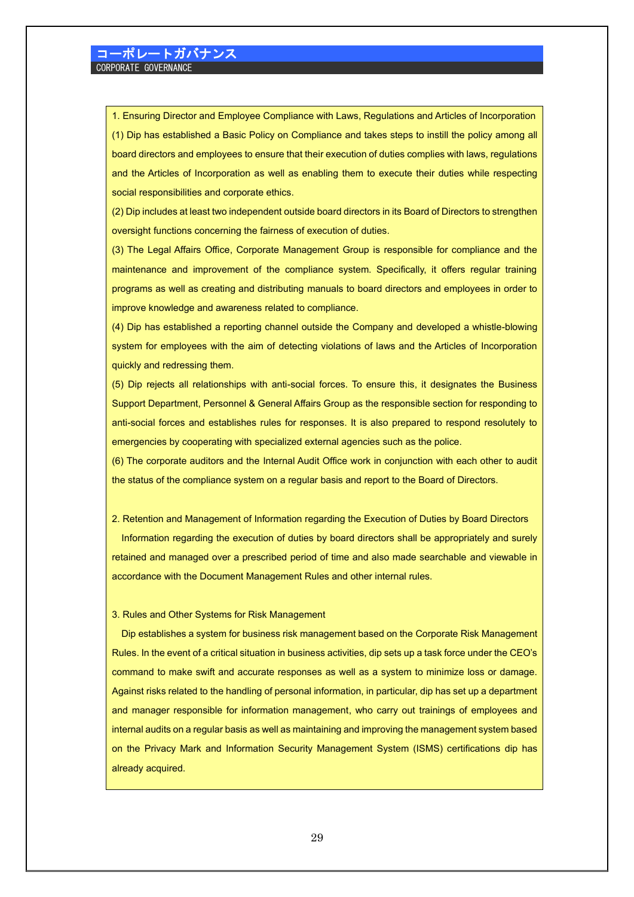1. Ensuring Director and Employee Compliance with Laws, Regulations and Articles of Incorporation (1) Dip has established a Basic Policy on Compliance and takes steps to instill the policy among all board directors and employees to ensure that their execution of duties complies with laws, regulations and the Articles of Incorporation as well as enabling them to execute their duties while respecting social responsibilities and corporate ethics.

(2) Dip includes at least two independent outside board directors in its Board of Directors to strengthen oversight functions concerning the fairness of execution of duties.

(3) The Legal Affairs Office, Corporate Management Group is responsible for compliance and the maintenance and improvement of the compliance system. Specifically, it offers regular training programs as well as creating and distributing manuals to board directors and employees in order to improve knowledge and awareness related to compliance.

(4) Dip has established a reporting channel outside the Company and developed a whistle-blowing system for employees with the aim of detecting violations of laws and the Articles of Incorporation quickly and redressing them.

(5) Dip rejects all relationships with anti-social forces. To ensure this, it designates the Business Support Department, Personnel & General Affairs Group as the responsible section for responding to anti-social forces and establishes rules for responses. It is also prepared to respond resolutely to emergencies by cooperating with specialized external agencies such as the police.

(6) The corporate auditors and the Internal Audit Office work in conjunction with each other to audit the status of the compliance system on a regular basis and report to the Board of Directors.

2. Retention and Management of Information regarding the Execution of Duties by Board Directors Information regarding the execution of duties by board directors shall be appropriately and surely retained and managed over a prescribed period of time and also made searchable and viewable in accordance with the Document Management Rules and other internal rules.

#### 3. Rules and Other Systems for Risk Management

Dip establishes a system for business risk management based on the Corporate Risk Management Rules. In the event of a critical situation in business activities, dip sets up a task force under the CEO's command to make swift and accurate responses as well as a system to minimize loss or damage. Against risks related to the handling of personal information, in particular, dip has set up a department and manager responsible for information management, who carry out trainings of employees and internal audits on a regular basis as well as maintaining and improving the management system based on the Privacy Mark and Information Security Management System (ISMS) certifications dip has already acquired.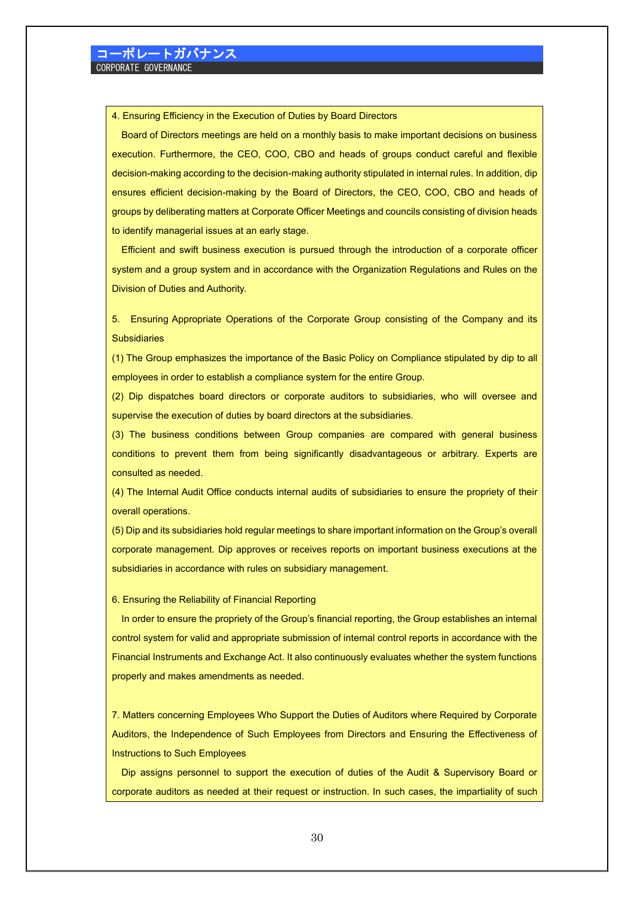4. Ensuring Efficiency in the Execution of Duties by Board Directors

Board of Directors meetings are held on a monthly basis to make important decisions on business execution. Furthermore, the CEO, COO, CBO and heads of groups conduct careful and flexible decision-making according to the decision-making authority stipulated in internal rules. In addition, dip ensures efficient decision-making by the Board of Directors, the CEO, COO, CBO and heads of groups by deliberating matters at Corporate Officer Meetings and councils consisting of division heads to identify managerial issues at an early stage.

Efficient and swift business execution is pursued through the introduction of a corporate officer system and a group system and in accordance with the Organization Regulations and Rules on the Division of Duties and Authority.

5. Ensuring Appropriate Operations of the Corporate Group consisting of the Company and its **Subsidiaries** 

(1) The Group emphasizes the importance of the Basic Policy on Compliance stipulated by dip to all employees in order to establish a compliance system for the entire Group.

(2) Dip dispatches board directors or corporate auditors to subsidiaries, who will oversee and supervise the execution of duties by board directors at the subsidiaries.

(3) The business conditions between Group companies are compared with general business conditions to prevent them from being significantly disadvantageous or arbitrary. Experts are consulted as needed.

(4) The Internal Audit Office conducts internal audits of subsidiaries to ensure the propriety of their overall operations.

(5) Dip and its subsidiaries hold regular meetings to share important information on the Group's overall corporate management. Dip approves or receives reports on important business executions at the subsidiaries in accordance with rules on subsidiary management.

6. Ensuring the Reliability of Financial Reporting

In order to ensure the propriety of the Group's financial reporting, the Group establishes an internal control system for valid and appropriate submission of internal control reports in accordance with the Financial Instruments and Exchange Act. It also continuously evaluates whether the system functions properly and makes amendments as needed.

7. Matters concerning Employees Who Support the Duties of Auditors where Required by Corporate Auditors, the Independence of Such Employees from Directors and Ensuring the Effectiveness of Instructions to Such Employees

Dip assigns personnel to support the execution of duties of the Audit & Supervisory Board or corporate auditors as needed at their request or instruction. In such cases, the impartiality of such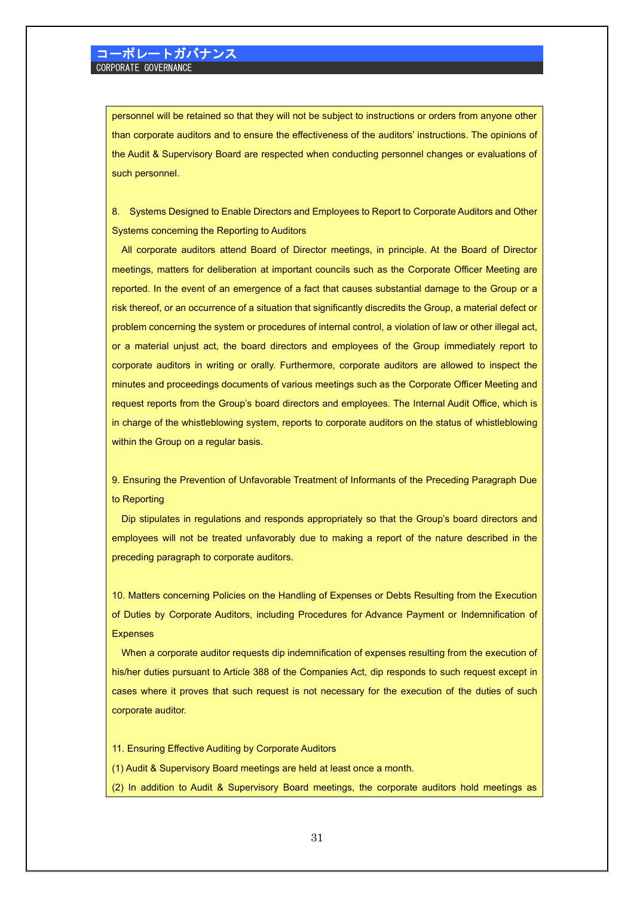personnel will be retained so that they will not be subject to instructions or orders from anyone other than corporate auditors and to ensure the effectiveness of the auditors' instructions. The opinions of the Audit & Supervisory Board are respected when conducting personnel changes or evaluations of such personnel.

8. Systems Designed to Enable Directors and Employees to Report to Corporate Auditors and Other Systems concerning the Reporting to Auditors

All corporate auditors attend Board of Director meetings, in principle. At the Board of Director meetings, matters for deliberation at important councils such as the Corporate Officer Meeting are reported. In the event of an emergence of a fact that causes substantial damage to the Group or a risk thereof, or an occurrence of a situation that significantly discredits the Group, a material defect or problem concerning the system or procedures of internal control, a violation of law or other illegal act, or a material unjust act, the board directors and employees of the Group immediately report to corporate auditors in writing or orally. Furthermore, corporate auditors are allowed to inspect the minutes and proceedings documents of various meetings such as the Corporate Officer Meeting and request reports from the Group's board directors and employees. The Internal Audit Office, which is in charge of the whistleblowing system, reports to corporate auditors on the status of whistleblowing within the Group on a regular basis.

9. Ensuring the Prevention of Unfavorable Treatment of Informants of the Preceding Paragraph Due to Reporting

Dip stipulates in regulations and responds appropriately so that the Group's board directors and employees will not be treated unfavorably due to making a report of the nature described in the preceding paragraph to corporate auditors.

10. Matters concerning Policies on the Handling of Expenses or Debts Resulting from the Execution of Duties by Corporate Auditors, including Procedures for Advance Payment or Indemnification of **Expenses** 

When a corporate auditor requests dip indemnification of expenses resulting from the execution of his/her duties pursuant to Article 388 of the Companies Act, dip responds to such request except in cases where it proves that such request is not necessary for the execution of the duties of such corporate auditor.

- 11. Ensuring Effective Auditing by Corporate Auditors
- (1) Audit & Supervisory Board meetings are held at least once a month.
- (2) In addition to Audit & Supervisory Board meetings, the corporate auditors hold meetings as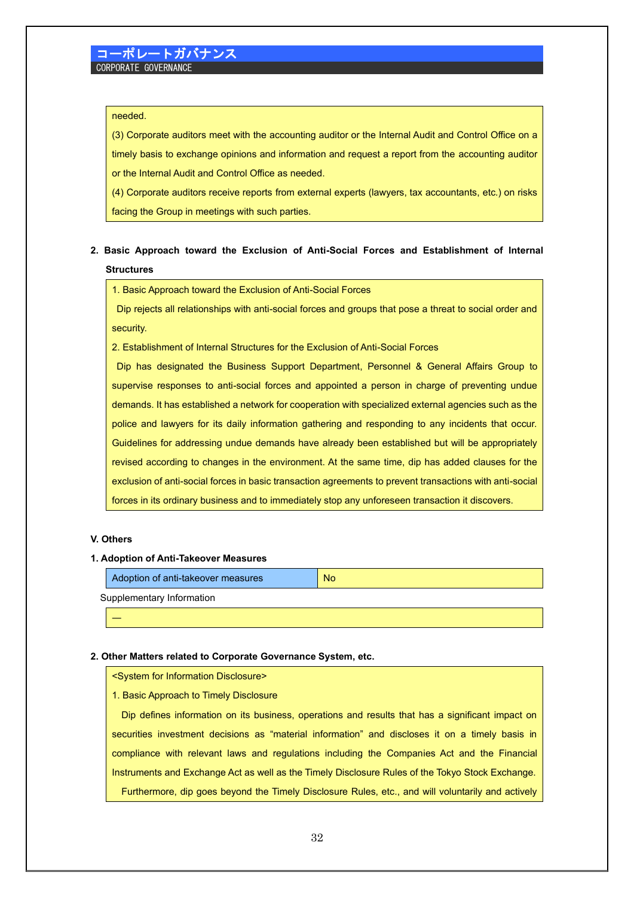### needed.

(3) Corporate auditors meet with the accounting auditor or the Internal Audit and Control Office on a timely basis to exchange opinions and information and request a report from the accounting auditor or the Internal Audit and Control Office as needed.

(4) Corporate auditors receive reports from external experts (lawyers, tax accountants, etc.) on risks facing the Group in meetings with such parties.

# **2. Basic Approach toward the Exclusion of Anti-Social Forces and Establishment of Internal Structures**

1. Basic Approach toward the Exclusion of Anti-Social Forces

Dip rejects all relationships with anti-social forces and groups that pose a threat to social order and security.

2. Establishment of Internal Structures for the Exclusion of Anti-Social Forces

Dip has designated the Business Support Department, Personnel & General Affairs Group to supervise responses to anti-social forces and appointed a person in charge of preventing undue demands. It has established a network for cooperation with specialized external agencies such as the police and lawyers for its daily information gathering and responding to any incidents that occur. Guidelines for addressing undue demands have already been established but will be appropriately revised according to changes in the environment. At the same time, dip has added clauses for the exclusion of anti-social forces in basic transaction agreements to prevent transactions with anti-social forces in its ordinary business and to immediately stop any unforeseen transaction it discovers.

### **V. Others**

―

### **1. Adoption of Anti-Takeover Measures**

Adoption of anti-takeover measures No

Supplementary Information

### **2. Other Matters related to Corporate Governance System, etc.**

<System for Information Disclosure>

1. Basic Approach to Timely Disclosure

Dip defines information on its business, operations and results that has a significant impact on securities investment decisions as "material information" and discloses it on a timely basis in compliance with relevant laws and regulations including the Companies Act and the Financial Instruments and Exchange Act as well as the Timely Disclosure Rules of the Tokyo Stock Exchange. Furthermore, dip goes beyond the Timely Disclosure Rules, etc., and will voluntarily and actively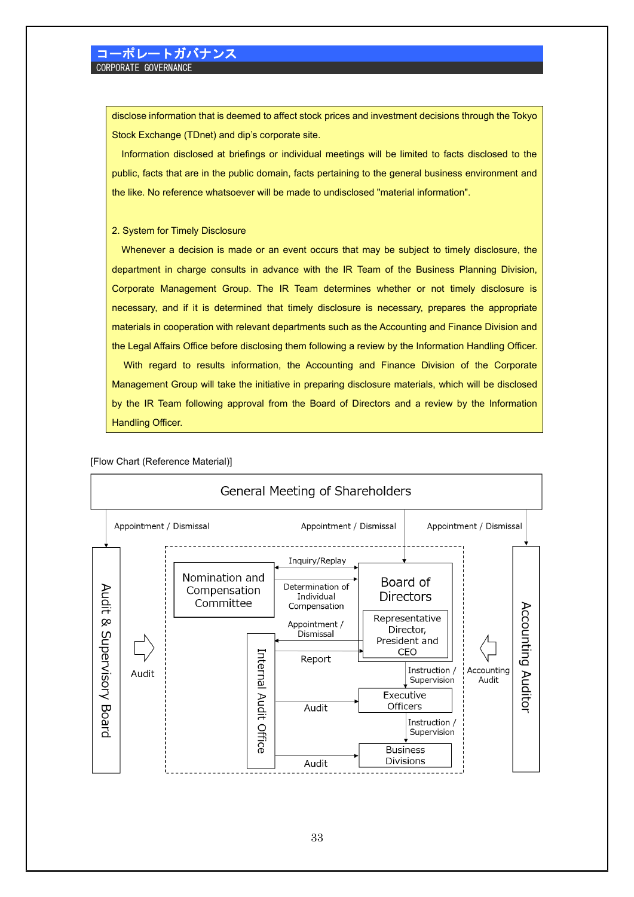disclose information that is deemed to affect stock prices and investment decisions through the Tokyo Stock Exchange (TDnet) and dip's corporate site.

Information disclosed at briefings or individual meetings will be limited to facts disclosed to the public, facts that are in the public domain, facts pertaining to the general business environment and the like. No reference whatsoever will be made to undisclosed "material information".

### 2. System for Timely Disclosure

Whenever a decision is made or an event occurs that may be subject to timely disclosure, the department in charge consults in advance with the IR Team of the Business Planning Division, Corporate Management Group. The IR Team determines whether or not timely disclosure is necessary, and if it is determined that timely disclosure is necessary, prepares the appropriate materials in cooperation with relevant departments such as the Accounting and Finance Division and the Legal Affairs Office before disclosing them following a review by the Information Handling Officer. With regard to results information, the Accounting and Finance Division of the Corporate Management Group will take the initiative in preparing disclosure materials, which will be disclosed

by the IR Team following approval from the Board of Directors and a review by the Information Handling Officer.

### [Flow Chart (Reference Material)]